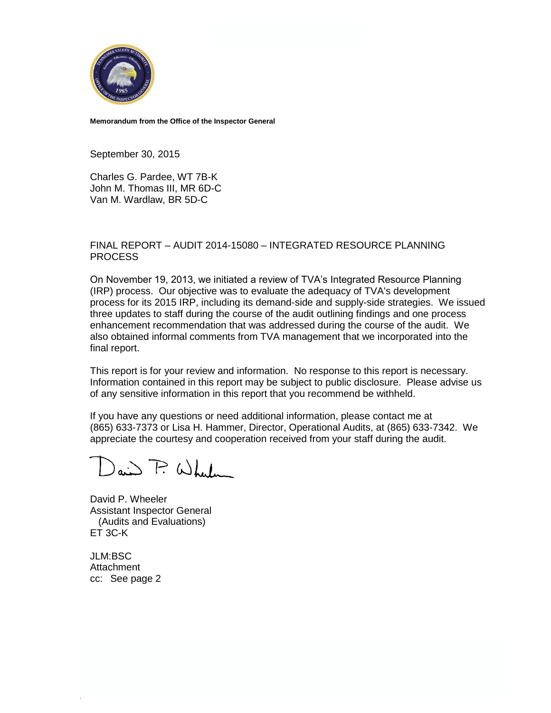

**Memorandum from the Office of the Inspector General**

September 30, 2015

Charles G. Pardee, WT 7B-K John M. Thomas III, MR 6D-C Van M. Wardlaw, BR 5D-C

#### FINAL REPORT – AUDIT 2014-15080 – INTEGRATED RESOURCE PLANNING PROCESS

On November 19, 2013, we initiated a review of TVA's Integrated Resource Planning (IRP) process. Our objective was to evaluate the adequacy of TVA's development process for its 2015 IRP, including its demand-side and supply-side strategies. We issued three updates to staff during the course of the audit outlining findings and one process enhancement recommendation that was addressed during the course of the audit. We also obtained informal comments from TVA management that we incorporated into the final report.

This report is for your review and information. No response to this report is necessary. Information contained in this report may be subject to public disclosure. Please advise us of any sensitive information in this report that you recommend be withheld.

If you have any questions or need additional information, please contact me at (865) 633-7373 or Lisa H. Hammer, Director, Operational Audits, at (865) 633-7342. We appreciate the courtesy and cooperation received from your staff during the audit.

 $\omega$  and  $\overline{P}$  When

David P. Wheeler Assistant Inspector General (Audits and Evaluations) ET 3C-K

JLM:BSC **Attachment** cc: See page 2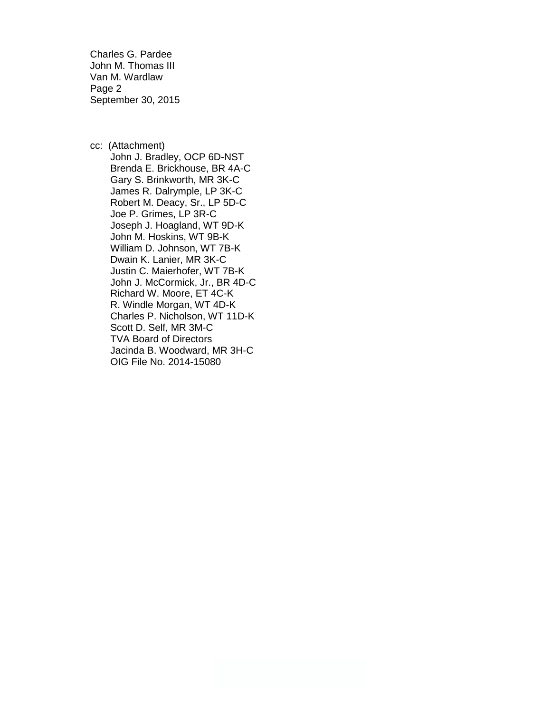Charles G. Pardee John M. Thomas III Van M. Wardlaw Page 2 September 30, 2015

cc: (Attachment) John J. Bradley, OCP 6D-NST Brenda E. Brickhouse, BR 4A-C Gary S. Brinkworth, MR 3K-C James R. Dalrymple, LP 3K-C Robert M. Deacy, Sr., LP 5D-C Joe P. Grimes, LP 3R-C Joseph J. Hoagland, WT 9D-K John M. Hoskins, WT 9B-K William D. Johnson, WT 7B-K Dwain K. Lanier, MR 3K-C Justin C. Maierhofer, WT 7B-K John J. McCormick, Jr., BR 4D-C Richard W. Moore, ET 4C-K R. Windle Morgan, WT 4D-K Charles P. Nicholson, WT 11D-K Scott D. Self, MR 3M-C TVA Board of Directors Jacinda B. Woodward, MR 3H-C OIG File No. 2014-15080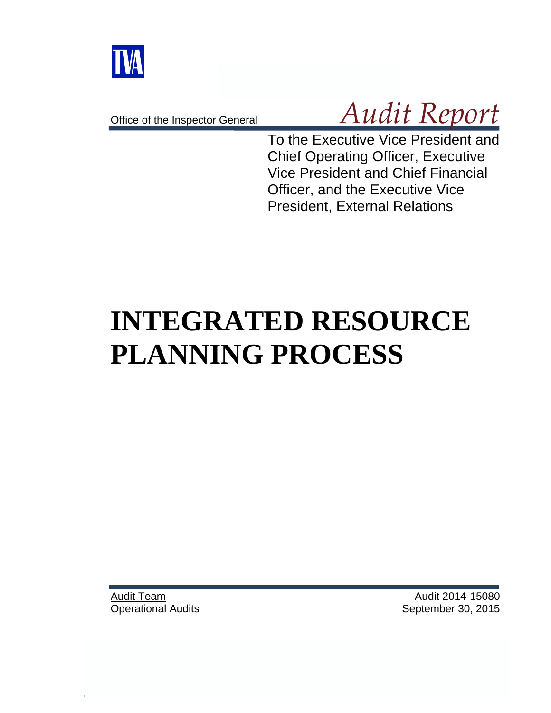

Office of the Inspector General

# *Audit Report*

To the Executive Vice President and Chief Operating Officer, Executive Vice President and Chief Financial Officer, and the Executive Vice President, External Relations

# **INTEGRATED RESOURCE PLANNING PROCESS**

Audit Team Operational Audits

Audit 2014-15080 September 30, 2015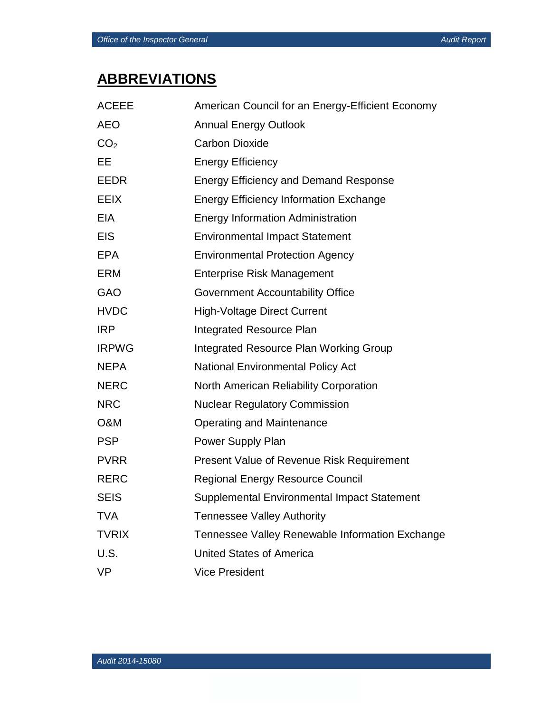# **ABBREVIATIONS**

| <b>ACEEE</b>    | American Council for an Energy-Efficient Economy |
|-----------------|--------------------------------------------------|
| <b>AEO</b>      | <b>Annual Energy Outlook</b>                     |
| CO <sub>2</sub> | <b>Carbon Dioxide</b>                            |
| EE              | <b>Energy Efficiency</b>                         |
| <b>EEDR</b>     | <b>Energy Efficiency and Demand Response</b>     |
| <b>EEIX</b>     | <b>Energy Efficiency Information Exchange</b>    |
| <b>EIA</b>      | <b>Energy Information Administration</b>         |
| <b>EIS</b>      | <b>Environmental Impact Statement</b>            |
| <b>EPA</b>      | <b>Environmental Protection Agency</b>           |
| <b>ERM</b>      | <b>Enterprise Risk Management</b>                |
| <b>GAO</b>      | <b>Government Accountability Office</b>          |
| <b>HVDC</b>     | <b>High-Voltage Direct Current</b>               |
| <b>IRP</b>      | <b>Integrated Resource Plan</b>                  |
| <b>IRPWG</b>    | Integrated Resource Plan Working Group           |
| <b>NEPA</b>     | <b>National Environmental Policy Act</b>         |
| <b>NERC</b>     | North American Reliability Corporation           |
| <b>NRC</b>      | <b>Nuclear Regulatory Commission</b>             |
| O&M             | Operating and Maintenance                        |
| <b>PSP</b>      | Power Supply Plan                                |
| <b>PVRR</b>     | <b>Present Value of Revenue Risk Requirement</b> |
| <b>RERC</b>     | <b>Regional Energy Resource Council</b>          |
| <b>SEIS</b>     | Supplemental Environmental Impact Statement      |
| <b>TVA</b>      | <b>Tennessee Valley Authority</b>                |
| <b>TVRIX</b>    | Tennessee Valley Renewable Information Exchange  |
| U.S.            | <b>United States of America</b>                  |
| <b>VP</b>       | <b>Vice President</b>                            |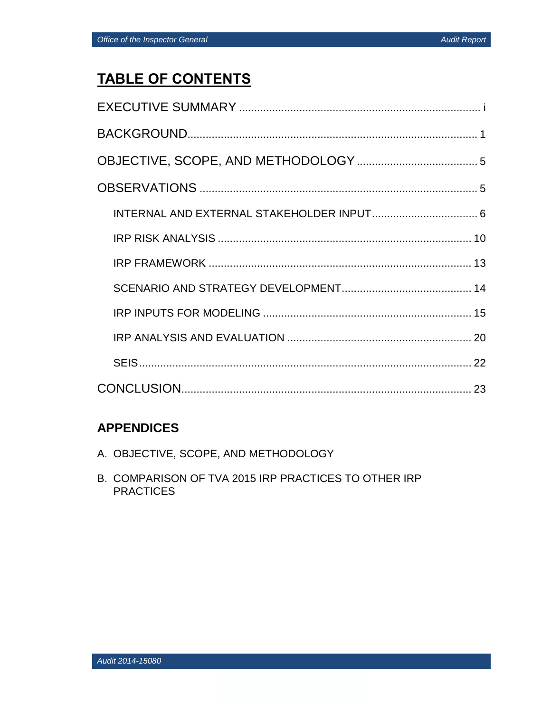# **TABLE OF CONTENTS**

## **APPENDICES**

- A. OBJECTIVE, SCOPE, AND METHODOLOGY
- B. COMPARISON OF TVA 2015 IRP PRACTICES TO OTHER IRP **PRACTICES**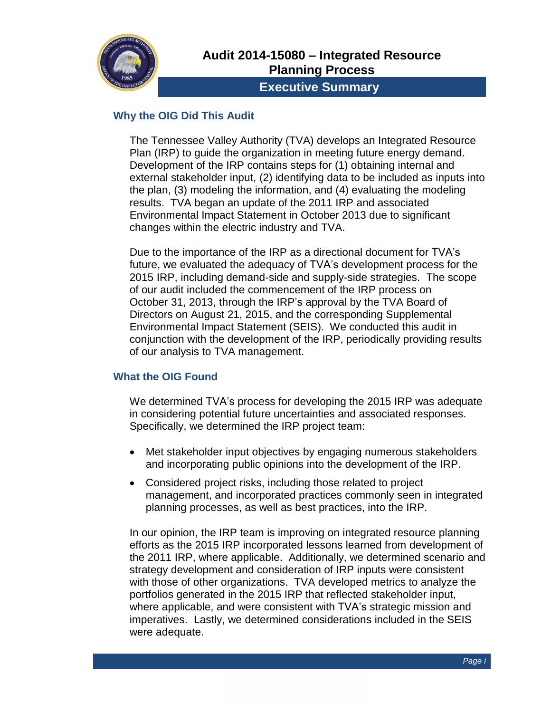

## **Executive Summary**

## **Why the OIG Did This Audit**

The Tennessee Valley Authority (TVA) develops an Integrated Resource Plan (IRP) to guide the organization in meeting future energy demand. Development of the IRP contains steps for (1) obtaining internal and external stakeholder input, (2) identifying data to be included as inputs into the plan, (3) modeling the information, and (4) evaluating the modeling results. TVA began an update of the 2011 IRP and associated Environmental Impact Statement in October 2013 due to significant changes within the electric industry and TVA.

Due to the importance of the IRP as a directional document for TVA's future, we evaluated the adequacy of TVA's development process for the 2015 IRP, including demand-side and supply-side strategies. The scope of our audit included the commencement of the IRP process on October 31, 2013, through the IRP's approval by the TVA Board of Directors on August 21, 2015, and the corresponding Supplemental Environmental Impact Statement (SEIS). We conducted this audit in conjunction with the development of the IRP, periodically providing results of our analysis to TVA management.

### **What the OIG Found**

We determined TVA's process for developing the 2015 IRP was adequate in considering potential future uncertainties and associated responses. Specifically, we determined the IRP project team:

- Met stakeholder input objectives by engaging numerous stakeholders and incorporating public opinions into the development of the IRP.
- Considered project risks, including those related to project management, and incorporated practices commonly seen in integrated planning processes, as well as best practices, into the IRP.

In our opinion, the IRP team is improving on integrated resource planning efforts as the 2015 IRP incorporated lessons learned from development of the 2011 IRP, where applicable. Additionally, we determined scenario and strategy development and consideration of IRP inputs were consistent with those of other organizations. TVA developed metrics to analyze the portfolios generated in the 2015 IRP that reflected stakeholder input, where applicable, and were consistent with TVA's strategic mission and imperatives. Lastly, we determined considerations included in the SEIS were adequate.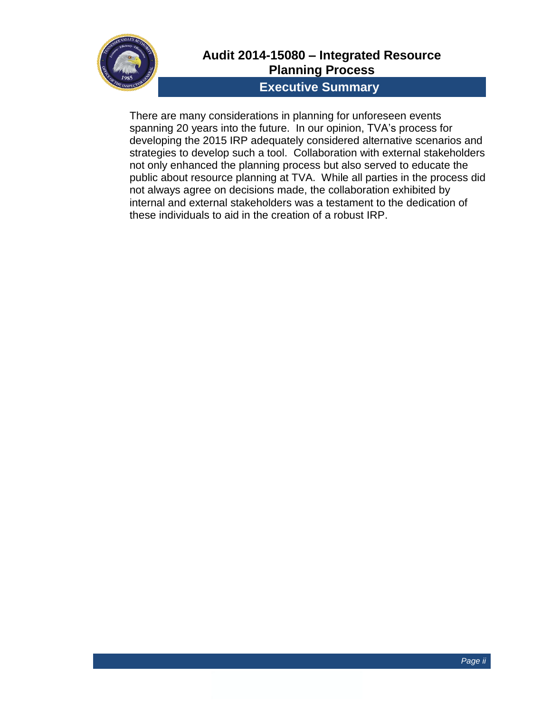

## **Audit 2014-15080 – Integrated Resource Planning Process**

## **Executive Summary**

There are many considerations in planning for unforeseen events spanning 20 years into the future. In our opinion, TVA's process for developing the 2015 IRP adequately considered alternative scenarios and strategies to develop such a tool. Collaboration with external stakeholders not only enhanced the planning process but also served to educate the public about resource planning at TVA. While all parties in the process did not always agree on decisions made, the collaboration exhibited by internal and external stakeholders was a testament to the dedication of these individuals to aid in the creation of a robust IRP.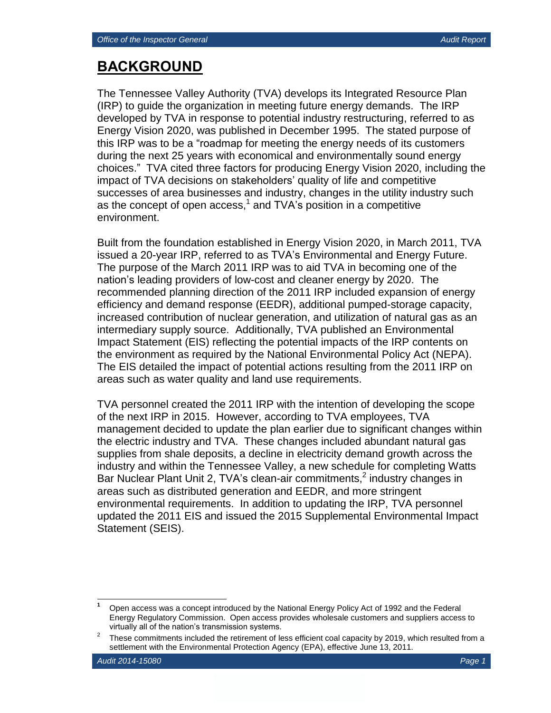## **BACKGROUND**

The Tennessee Valley Authority (TVA) develops its Integrated Resource Plan (IRP) to guide the organization in meeting future energy demands. The IRP developed by TVA in response to potential industry restructuring, referred to as Energy Vision 2020, was published in December 1995. The stated purpose of this IRP was to be a "roadmap for meeting the energy needs of its customers during the next 25 years with economical and environmentally sound energy choices." TVA cited three factors for producing Energy Vision 2020, including the impact of TVA decisions on stakeholders' quality of life and competitive successes of area businesses and industry, changes in the utility industry such as the concept of open access,<sup>1</sup> and TVA's position in a competitive environment.

Built from the foundation established in Energy Vision 2020, in March 2011, TVA issued a 20-year IRP, referred to as TVA's Environmental and Energy Future. The purpose of the March 2011 IRP was to aid TVA in becoming one of the nation's leading providers of low-cost and cleaner energy by 2020. The recommended planning direction of the 2011 IRP included expansion of energy efficiency and demand response (EEDR), additional pumped-storage capacity, increased contribution of nuclear generation, and utilization of natural gas as an intermediary supply source. Additionally, TVA published an Environmental Impact Statement (EIS) reflecting the potential impacts of the IRP contents on the environment as required by the National Environmental Policy Act (NEPA). The EIS detailed the impact of potential actions resulting from the 2011 IRP on areas such as water quality and land use requirements.

TVA personnel created the 2011 IRP with the intention of developing the scope of the next IRP in 2015. However, according to TVA employees, TVA management decided to update the plan earlier due to significant changes within the electric industry and TVA. These changes included abundant natural gas supplies from shale deposits, a decline in electricity demand growth across the industry and within the Tennessee Valley, a new schedule for completing Watts Bar Nuclear Plant Unit 2, TVA's clean-air commitments,<sup>2</sup> industry changes in areas such as distributed generation and EEDR, and more stringent environmental requirements. In addition to updating the IRP, TVA personnel updated the 2011 EIS and issued the 2015 Supplemental Environmental Impact Statement (SEIS).

 **<sup>1</sup>** Open access was a concept introduced by the National Energy Policy Act of 1992 and the Federal Energy Regulatory Commission. Open access provides wholesale customers and suppliers access to virtually all of the nation's transmission systems.

<sup>2</sup> These commitments included the retirement of less efficient coal capacity by 2019, which resulted from a settlement with the Environmental Protection Agency (EPA), effective June 13, 2011.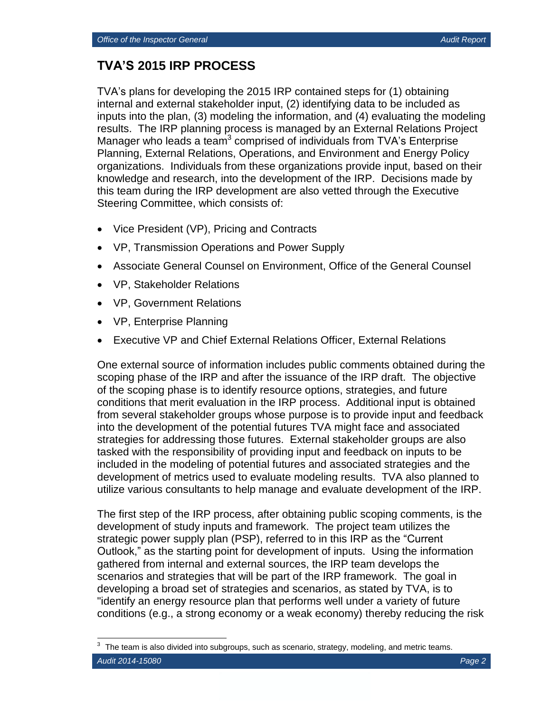## **TVA'S 2015 IRP PROCESS**

TVA's plans for developing the 2015 IRP contained steps for (1) obtaining internal and external stakeholder input, (2) identifying data to be included as inputs into the plan, (3) modeling the information, and (4) evaluating the modeling results. The IRP planning process is managed by an External Relations Project Manager who leads a team<sup>3</sup> comprised of individuals from TVA's Enterprise Planning, External Relations, Operations, and Environment and Energy Policy organizations. Individuals from these organizations provide input, based on their knowledge and research, into the development of the IRP. Decisions made by this team during the IRP development are also vetted through the Executive Steering Committee, which consists of:

- Vice President (VP), Pricing and Contracts
- VP, Transmission Operations and Power Supply
- Associate General Counsel on Environment, Office of the General Counsel
- VP, Stakeholder Relations
- VP, Government Relations
- VP, Enterprise Planning
- Executive VP and Chief External Relations Officer, External Relations

One external source of information includes public comments obtained during the scoping phase of the IRP and after the issuance of the IRP draft. The objective of the scoping phase is to identify resource options, strategies, and future conditions that merit evaluation in the IRP process. Additional input is obtained from several stakeholder groups whose purpose is to provide input and feedback into the development of the potential futures TVA might face and associated strategies for addressing those futures. External stakeholder groups are also tasked with the responsibility of providing input and feedback on inputs to be included in the modeling of potential futures and associated strategies and the development of metrics used to evaluate modeling results. TVA also planned to utilize various consultants to help manage and evaluate development of the IRP.

The first step of the IRP process, after obtaining public scoping comments, is the development of study inputs and framework. The project team utilizes the strategic power supply plan (PSP), referred to in this IRP as the "Current Outlook," as the starting point for development of inputs. Using the information gathered from internal and external sources, the IRP team develops the scenarios and strategies that will be part of the IRP framework. The goal in developing a broad set of strategies and scenarios, as stated by TVA, is to "identify an energy resource plan that performs well under a variety of future conditions (e.g., a strong economy or a weak economy) thereby reducing the risk

*Audit 2014-15080 Page 2* 3 The team is also divided into subgroups, such as scenario, strategy, modeling, and metric teams.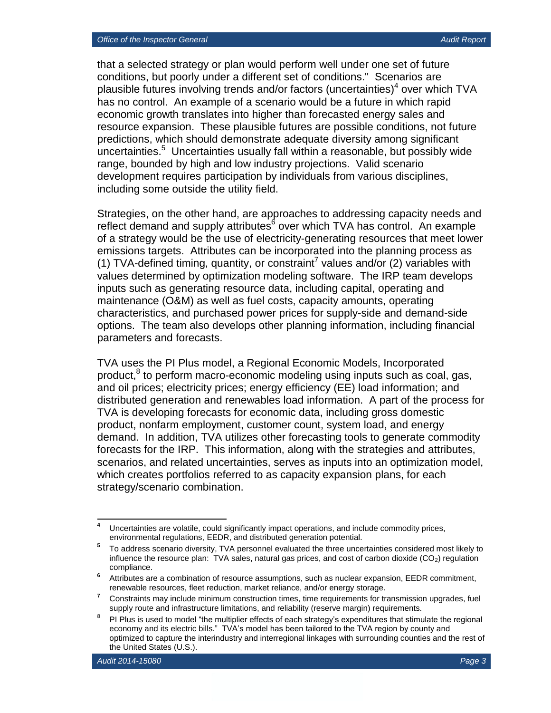that a selected strategy or plan would perform well under one set of future conditions, but poorly under a different set of conditions." Scenarios are plausible futures involving trends and/or factors (uncertainties)<sup>4</sup> over which TVA has no control. An example of a scenario would be a future in which rapid economic growth translates into higher than forecasted energy sales and resource expansion. These plausible futures are possible conditions, not future predictions, which should demonstrate adequate diversity among significant .<br>uncertainties.<sup>5</sup> Uncertainties usually fall within a reasonable, but possibly wide range, bounded by high and low industry projections. Valid scenario development requires participation by individuals from various disciplines, including some outside the utility field.

Strategies, on the other hand, are approaches to addressing capacity needs and reflect demand and supply attributes<sup>6</sup> over which TVA has control. An example of a strategy would be the use of electricity-generating resources that meet lower emissions targets. Attributes can be incorporated into the planning process as (1) TVA-defined timing, quantity, or constraint<sup>7</sup> values and/or (2) variables with values determined by optimization modeling software. The IRP team develops inputs such as generating resource data, including capital, operating and maintenance (O&M) as well as fuel costs, capacity amounts, operating characteristics, and purchased power prices for supply-side and demand-side options. The team also develops other planning information, including financial parameters and forecasts.

TVA uses the PI Plus model, a Regional Economic Models, Incorporated product,<sup>8</sup> to perform macro-economic modeling using inputs such as coal, gas, and oil prices; electricity prices; energy efficiency (EE) load information; and distributed generation and renewables load information. A part of the process for TVA is developing forecasts for economic data, including gross domestic product, nonfarm employment, customer count, system load, and energy demand. In addition, TVA utilizes other forecasting tools to generate commodity forecasts for the IRP. This information, along with the strategies and attributes, scenarios, and related uncertainties, serves as inputs into an optimization model, which creates portfolios referred to as capacity expansion plans, for each strategy/scenario combination.

 $\overline{\mathbf{4}}$ **<sup>4</sup>** Uncertainties are volatile, could significantly impact operations, and include commodity prices, environmental regulations, EEDR, and distributed generation potential.

**<sup>5</sup>** To address scenario diversity, TVA personnel evaluated the three uncertainties considered most likely to influence the resource plan: TVA sales, natural gas prices, and cost of carbon dioxide  $(CO<sub>2</sub>)$  regulation compliance.

**<sup>6</sup>** Attributes are a combination of resource assumptions, such as nuclear expansion, EEDR commitment, renewable resources, fleet reduction, market reliance, and/or energy storage.

<sup>&</sup>lt;sup>7</sup> Constraints may include minimum construction times, time requirements for transmission upgrades, fuel supply route and infrastructure limitations, and reliability (reserve margin) requirements.

<sup>8</sup> PI Plus is used to model "the multiplier effects of each strategy's expenditures that stimulate the regional economy and its electric bills." TVA's model has been tailored to the TVA region by county and optimized to capture the interindustry and interregional linkages with surrounding counties and the rest of the United States (U.S.).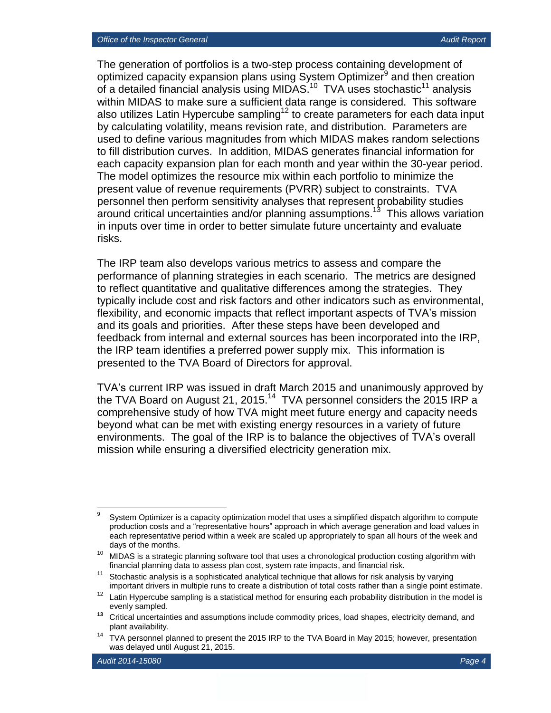The generation of portfolios is a two-step process containing development of optimized capacity expansion plans using System Optimizer<sup>9</sup> and then creation of a detailed financial analysis using MIDAS.<sup>10</sup> TVA uses stochastic<sup>11</sup> analysis within MIDAS to make sure a sufficient data range is considered. This software also utilizes Latin Hypercube sampling<sup>12</sup> to create parameters for each data input by calculating volatility, means revision rate, and distribution. Parameters are used to define various magnitudes from which MIDAS makes random selections to fill distribution curves. In addition, MIDAS generates financial information for each capacity expansion plan for each month and year within the 30-year period. The model optimizes the resource mix within each portfolio to minimize the present value of revenue requirements (PVRR) subject to constraints. TVA personnel then perform sensitivity analyses that represent probability studies around critical uncertainties and/or planning assumptions. 13 This allows variation in inputs over time in order to better simulate future uncertainty and evaluate risks.

The IRP team also develops various metrics to assess and compare the performance of planning strategies in each scenario. The metrics are designed to reflect quantitative and qualitative differences among the strategies. They typically include cost and risk factors and other indicators such as environmental, flexibility, and economic impacts that reflect important aspects of TVA's mission and its goals and priorities. After these steps have been developed and feedback from internal and external sources has been incorporated into the IRP, the IRP team identifies a preferred power supply mix. This information is presented to the TVA Board of Directors for approval.

TVA's current IRP was issued in draft March 2015 and unanimously approved by the TVA Board on August 21, 2015. $14$  TVA personnel considers the 2015 IRP a comprehensive study of how TVA might meet future energy and capacity needs beyond what can be met with existing energy resources in a variety of future environments. The goal of the IRP is to balance the objectives of TVA's overall mission while ensuring a diversified electricity generation mix.

<sup>-&</sup>lt;br>9 System Optimizer is a capacity optimization model that uses a simplified dispatch algorithm to compute production costs and a "representative hours" approach in which average generation and load values in each representative period within a week are scaled up appropriately to span all hours of the week and days of the months.

 $10$  MIDAS is a strategic planning software tool that uses a chronological production costing algorithm with financial planning data to assess plan cost, system rate impacts, and financial risk.

<sup>&</sup>lt;sup>11</sup> Stochastic analysis is a sophisticated analytical technique that allows for risk analysis by varying important drivers in multiple runs to create a distribution of total costs rather than a single point estimate.

 $12$  Latin Hypercube sampling is a statistical method for ensuring each probability distribution in the model is evenly sampled.

**<sup>13</sup>** Critical uncertainties and assumptions include commodity prices, load shapes, electricity demand, and plant availability.

<sup>&</sup>lt;sup>14</sup> TVA personnel planned to present the 2015 IRP to the TVA Board in May 2015; however, presentation was delayed until August 21, 2015.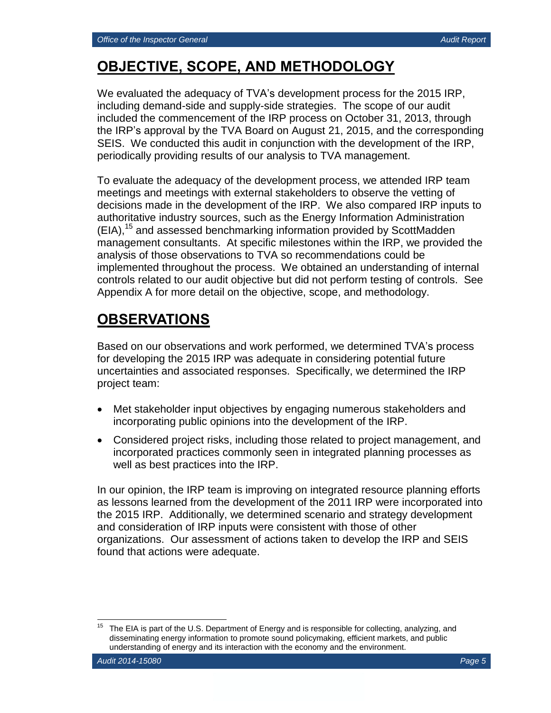## **OBJECTIVE, SCOPE, AND METHODOLOGY**

We evaluated the adequacy of TVA's development process for the 2015 IRP, including demand-side and supply-side strategies. The scope of our audit included the commencement of the IRP process on October 31, 2013, through the IRP's approval by the TVA Board on August 21, 2015, and the corresponding SEIS. We conducted this audit in conjunction with the development of the IRP, periodically providing results of our analysis to TVA management.

To evaluate the adequacy of the development process, we attended IRP team meetings and meetings with external stakeholders to observe the vetting of decisions made in the development of the IRP. We also compared IRP inputs to authoritative industry sources, such as the Energy Information Administration (EIA), <sup>15</sup> and assessed benchmarking information provided by ScottMadden management consultants. At specific milestones within the IRP, we provided the analysis of those observations to TVA so recommendations could be implemented throughout the process. We obtained an understanding of internal controls related to our audit objective but did not perform testing of controls. See Appendix A for more detail on the objective, scope, and methodology.

## **OBSERVATIONS**

Based on our observations and work performed, we determined TVA's process for developing the 2015 IRP was adequate in considering potential future uncertainties and associated responses. Specifically, we determined the IRP project team:

- Met stakeholder input objectives by engaging numerous stakeholders and incorporating public opinions into the development of the IRP.
- Considered project risks, including those related to project management, and incorporated practices commonly seen in integrated planning processes as well as best practices into the IRP.

In our opinion, the IRP team is improving on integrated resource planning efforts as lessons learned from the development of the 2011 IRP were incorporated into the 2015 IRP. Additionally, we determined scenario and strategy development and consideration of IRP inputs were consistent with those of other organizations. Our assessment of actions taken to develop the IRP and SEIS found that actions were adequate.

 $\overline{a}$ The EIA is part of the U.S. Department of Energy and is responsible for collecting, analyzing, and disseminating energy information to promote sound policymaking, efficient markets, and public understanding of energy and its interaction with the economy and the environment.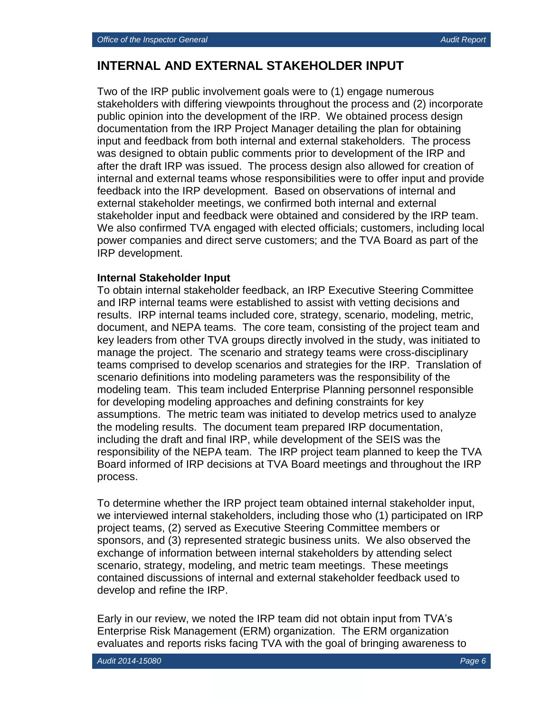## **INTERNAL AND EXTERNAL STAKEHOLDER INPUT**

Two of the IRP public involvement goals were to (1) engage numerous stakeholders with differing viewpoints throughout the process and (2) incorporate public opinion into the development of the IRP. We obtained process design documentation from the IRP Project Manager detailing the plan for obtaining input and feedback from both internal and external stakeholders. The process was designed to obtain public comments prior to development of the IRP and after the draft IRP was issued. The process design also allowed for creation of internal and external teams whose responsibilities were to offer input and provide feedback into the IRP development. Based on observations of internal and external stakeholder meetings, we confirmed both internal and external stakeholder input and feedback were obtained and considered by the IRP team. We also confirmed TVA engaged with elected officials; customers, including local power companies and direct serve customers; and the TVA Board as part of the IRP development.

#### **Internal Stakeholder Input**

To obtain internal stakeholder feedback, an IRP Executive Steering Committee and IRP internal teams were established to assist with vetting decisions and results. IRP internal teams included core, strategy, scenario, modeling, metric, document, and NEPA teams. The core team, consisting of the project team and key leaders from other TVA groups directly involved in the study, was initiated to manage the project. The scenario and strategy teams were cross-disciplinary teams comprised to develop scenarios and strategies for the IRP. Translation of scenario definitions into modeling parameters was the responsibility of the modeling team. This team included Enterprise Planning personnel responsible for developing modeling approaches and defining constraints for key assumptions. The metric team was initiated to develop metrics used to analyze the modeling results. The document team prepared IRP documentation, including the draft and final IRP, while development of the SEIS was the responsibility of the NEPA team. The IRP project team planned to keep the TVA Board informed of IRP decisions at TVA Board meetings and throughout the IRP process.

To determine whether the IRP project team obtained internal stakeholder input, we interviewed internal stakeholders, including those who (1) participated on IRP project teams, (2) served as Executive Steering Committee members or sponsors, and (3) represented strategic business units. We also observed the exchange of information between internal stakeholders by attending select scenario, strategy, modeling, and metric team meetings. These meetings contained discussions of internal and external stakeholder feedback used to develop and refine the IRP.

Early in our review, we noted the IRP team did not obtain input from TVA's Enterprise Risk Management (ERM) organization. The ERM organization evaluates and reports risks facing TVA with the goal of bringing awareness to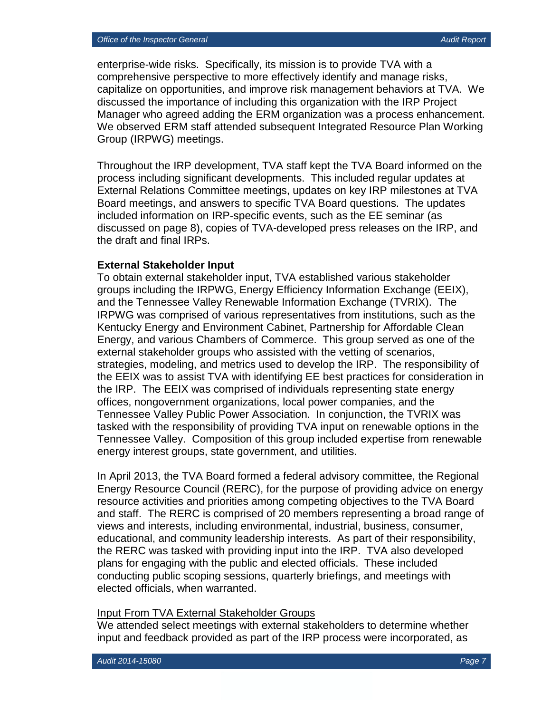enterprise-wide risks. Specifically, its mission is to provide TVA with a comprehensive perspective to more effectively identify and manage risks, capitalize on opportunities, and improve risk management behaviors at TVA. We discussed the importance of including this organization with the IRP Project Manager who agreed adding the ERM organization was a process enhancement. We observed ERM staff attended subsequent Integrated Resource Plan Working Group (IRPWG) meetings.

Throughout the IRP development, TVA staff kept the TVA Board informed on the process including significant developments. This included regular updates at External Relations Committee meetings, updates on key IRP milestones at TVA Board meetings, and answers to specific TVA Board questions. The updates included information on IRP-specific events, such as the EE seminar (as discussed on page 8), copies of TVA-developed press releases on the IRP, and the draft and final IRPs.

#### **External Stakeholder Input**

To obtain external stakeholder input, TVA established various stakeholder groups including the IRPWG, Energy Efficiency Information Exchange (EEIX), and the Tennessee Valley Renewable Information Exchange (TVRIX). The IRPWG was comprised of various representatives from institutions, such as the Kentucky Energy and Environment Cabinet, Partnership for Affordable Clean Energy, and various Chambers of Commerce. This group served as one of the external stakeholder groups who assisted with the vetting of scenarios, strategies, modeling, and metrics used to develop the IRP. The responsibility of the EEIX was to assist TVA with identifying EE best practices for consideration in the IRP. The EEIX was comprised of individuals representing state energy offices, nongovernment organizations, local power companies, and the Tennessee Valley Public Power Association. In conjunction, the TVRIX was tasked with the responsibility of providing TVA input on renewable options in the Tennessee Valley. Composition of this group included expertise from renewable energy interest groups, state government, and utilities.

In April 2013, the TVA Board formed a federal advisory committee, the Regional Energy Resource Council (RERC), for the purpose of providing advice on energy resource activities and priorities among competing objectives to the TVA Board and staff. The RERC is comprised of 20 members representing a broad range of views and interests, including environmental, industrial, business, consumer, educational, and community leadership interests. As part of their responsibility, the RERC was tasked with providing input into the IRP. TVA also developed plans for engaging with the public and elected officials. These included conducting public scoping sessions, quarterly briefings, and meetings with elected officials, when warranted.

#### Input From TVA External Stakeholder Groups

We attended select meetings with external stakeholders to determine whether input and feedback provided as part of the IRP process were incorporated, as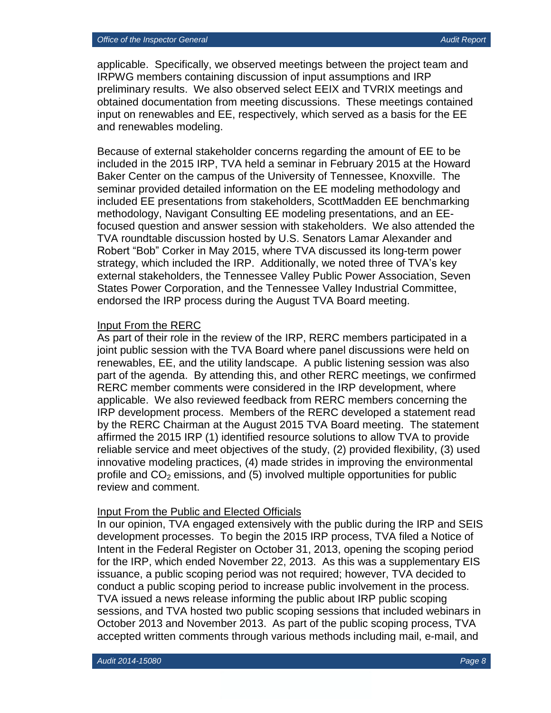applicable. Specifically, we observed meetings between the project team and IRPWG members containing discussion of input assumptions and IRP preliminary results. We also observed select EEIX and TVRIX meetings and obtained documentation from meeting discussions. These meetings contained input on renewables and EE, respectively, which served as a basis for the EE and renewables modeling.

Because of external stakeholder concerns regarding the amount of EE to be included in the 2015 IRP, TVA held a seminar in February 2015 at the Howard Baker Center on the campus of the University of Tennessee, Knoxville. The seminar provided detailed information on the EE modeling methodology and included EE presentations from stakeholders, ScottMadden EE benchmarking methodology, Navigant Consulting EE modeling presentations, and an EEfocused question and answer session with stakeholders. We also attended the TVA roundtable discussion hosted by U.S. Senators Lamar Alexander and Robert "Bob" Corker in May 2015, where TVA discussed its long-term power strategy, which included the IRP. Additionally, we noted three of TVA's key external stakeholders, the Tennessee Valley Public Power Association, Seven States Power Corporation, and the Tennessee Valley Industrial Committee, endorsed the IRP process during the August TVA Board meeting.

#### Input From the RERC

As part of their role in the review of the IRP, RERC members participated in a joint public session with the TVA Board where panel discussions were held on renewables, EE, and the utility landscape. A public listening session was also part of the agenda. By attending this, and other RERC meetings, we confirmed RERC member comments were considered in the IRP development, where applicable. We also reviewed feedback from RERC members concerning the IRP development process. Members of the RERC developed a statement read by the RERC Chairman at the August 2015 TVA Board meeting. The statement affirmed the 2015 IRP (1) identified resource solutions to allow TVA to provide reliable service and meet objectives of the study, (2) provided flexibility, (3) used innovative modeling practices, (4) made strides in improving the environmental profile and  $CO<sub>2</sub>$  emissions, and (5) involved multiple opportunities for public review and comment.

#### Input From the Public and Elected Officials

In our opinion, TVA engaged extensively with the public during the IRP and SEIS development processes. To begin the 2015 IRP process, TVA filed a Notice of Intent in the Federal Register on October 31, 2013, opening the scoping period for the IRP, which ended November 22, 2013. As this was a supplementary EIS issuance, a public scoping period was not required; however, TVA decided to conduct a public scoping period to increase public involvement in the process. TVA issued a news release informing the public about IRP public scoping sessions, and TVA hosted two public scoping sessions that included webinars in October 2013 and November 2013. As part of the public scoping process, TVA accepted written comments through various methods including mail, e-mail, and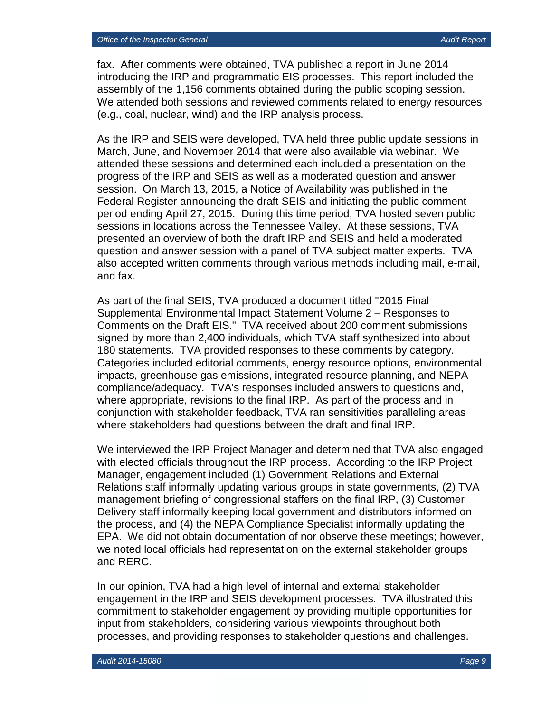fax. After comments were obtained, TVA published a report in June 2014 introducing the IRP and programmatic EIS processes. This report included the assembly of the 1,156 comments obtained during the public scoping session. We attended both sessions and reviewed comments related to energy resources (e.g., coal, nuclear, wind) and the IRP analysis process.

As the IRP and SEIS were developed, TVA held three public update sessions in March, June, and November 2014 that were also available via webinar. We attended these sessions and determined each included a presentation on the progress of the IRP and SEIS as well as a moderated question and answer session. On March 13, 2015, a Notice of Availability was published in the Federal Register announcing the draft SEIS and initiating the public comment period ending April 27, 2015. During this time period, TVA hosted seven public sessions in locations across the Tennessee Valley. At these sessions, TVA presented an overview of both the draft IRP and SEIS and held a moderated question and answer session with a panel of TVA subject matter experts. TVA also accepted written comments through various methods including mail, e-mail, and fax.

As part of the final SEIS, TVA produced a document titled "2015 Final Supplemental Environmental Impact Statement Volume 2 – Responses to Comments on the Draft EIS." TVA received about 200 comment submissions signed by more than 2,400 individuals, which TVA staff synthesized into about 180 statements. TVA provided responses to these comments by category. Categories included editorial comments, energy resource options, environmental impacts, greenhouse gas emissions, integrated resource planning, and NEPA compliance/adequacy. TVA's responses included answers to questions and, where appropriate, revisions to the final IRP. As part of the process and in conjunction with stakeholder feedback, TVA ran sensitivities paralleling areas where stakeholders had questions between the draft and final IRP.

We interviewed the IRP Project Manager and determined that TVA also engaged with elected officials throughout the IRP process. According to the IRP Project Manager, engagement included (1) Government Relations and External Relations staff informally updating various groups in state governments, (2) TVA management briefing of congressional staffers on the final IRP, (3) Customer Delivery staff informally keeping local government and distributors informed on the process, and (4) the NEPA Compliance Specialist informally updating the EPA. We did not obtain documentation of nor observe these meetings; however, we noted local officials had representation on the external stakeholder groups and RERC.

In our opinion, TVA had a high level of internal and external stakeholder engagement in the IRP and SEIS development processes. TVA illustrated this commitment to stakeholder engagement by providing multiple opportunities for input from stakeholders, considering various viewpoints throughout both processes, and providing responses to stakeholder questions and challenges.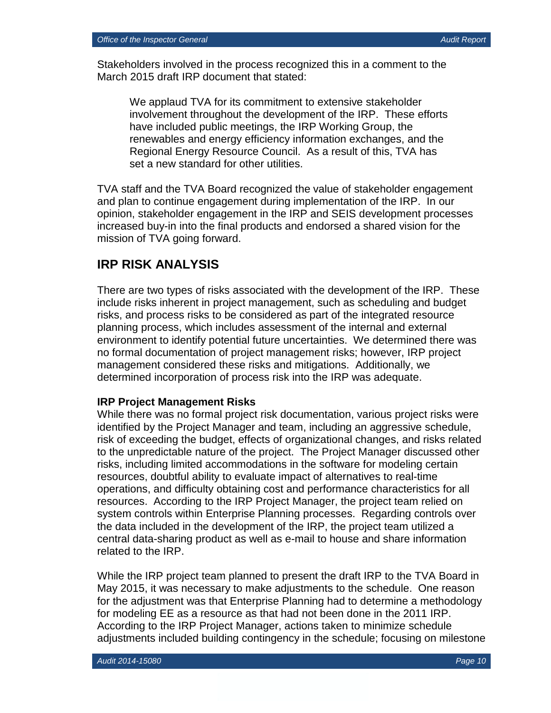Stakeholders involved in the process recognized this in a comment to the March 2015 draft IRP document that stated:

We applaud TVA for its commitment to extensive stakeholder involvement throughout the development of the IRP. These efforts have included public meetings, the IRP Working Group, the renewables and energy efficiency information exchanges, and the Regional Energy Resource Council. As a result of this, TVA has set a new standard for other utilities.

TVA staff and the TVA Board recognized the value of stakeholder engagement and plan to continue engagement during implementation of the IRP. In our opinion, stakeholder engagement in the IRP and SEIS development processes increased buy-in into the final products and endorsed a shared vision for the mission of TVA going forward.

## **IRP RISK ANALYSIS**

There are two types of risks associated with the development of the IRP. These include risks inherent in project management, such as scheduling and budget risks, and process risks to be considered as part of the integrated resource planning process, which includes assessment of the internal and external environment to identify potential future uncertainties. We determined there was no formal documentation of project management risks; however, IRP project management considered these risks and mitigations. Additionally, we determined incorporation of process risk into the IRP was adequate.

#### **IRP Project Management Risks**

While there was no formal project risk documentation, various project risks were identified by the Project Manager and team, including an aggressive schedule, risk of exceeding the budget, effects of organizational changes, and risks related to the unpredictable nature of the project. The Project Manager discussed other risks, including limited accommodations in the software for modeling certain resources, doubtful ability to evaluate impact of alternatives to real-time operations, and difficulty obtaining cost and performance characteristics for all resources. According to the IRP Project Manager, the project team relied on system controls within Enterprise Planning processes. Regarding controls over the data included in the development of the IRP, the project team utilized a central data-sharing product as well as e-mail to house and share information related to the IRP.

While the IRP project team planned to present the draft IRP to the TVA Board in May 2015, it was necessary to make adjustments to the schedule. One reason for the adjustment was that Enterprise Planning had to determine a methodology for modeling EE as a resource as that had not been done in the 2011 IRP. According to the IRP Project Manager, actions taken to minimize schedule adjustments included building contingency in the schedule; focusing on milestone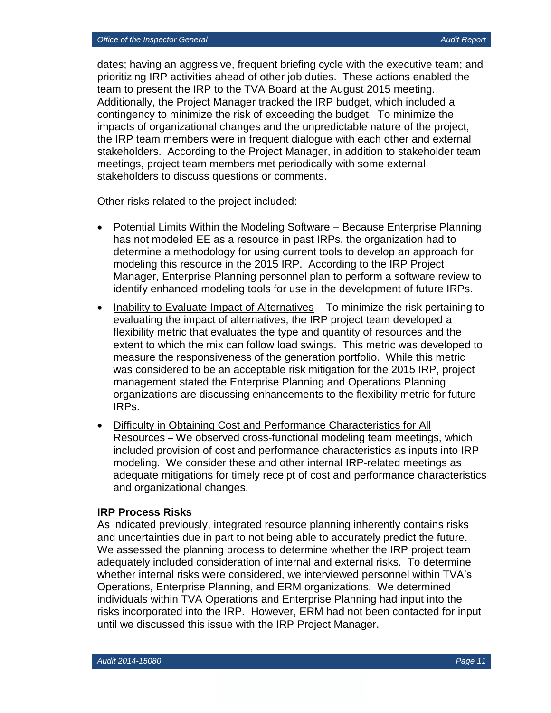dates; having an aggressive, frequent briefing cycle with the executive team; and prioritizing IRP activities ahead of other job duties. These actions enabled the team to present the IRP to the TVA Board at the August 2015 meeting. Additionally, the Project Manager tracked the IRP budget, which included a contingency to minimize the risk of exceeding the budget. To minimize the impacts of organizational changes and the unpredictable nature of the project, the IRP team members were in frequent dialogue with each other and external stakeholders. According to the Project Manager, in addition to stakeholder team meetings, project team members met periodically with some external stakeholders to discuss questions or comments.

Other risks related to the project included:

- Potential Limits Within the Modeling Software Because Enterprise Planning has not modeled EE as a resource in past IRPs, the organization had to determine a methodology for using current tools to develop an approach for modeling this resource in the 2015 IRP. According to the IRP Project Manager, Enterprise Planning personnel plan to perform a software review to identify enhanced modeling tools for use in the development of future IRPs.
- Inability to Evaluate Impact of Alternatives To minimize the risk pertaining to evaluating the impact of alternatives, the IRP project team developed a flexibility metric that evaluates the type and quantity of resources and the extent to which the mix can follow load swings. This metric was developed to measure the responsiveness of the generation portfolio. While this metric was considered to be an acceptable risk mitigation for the 2015 IRP, project management stated the Enterprise Planning and Operations Planning organizations are discussing enhancements to the flexibility metric for future IRPs.
- Difficulty in Obtaining Cost and Performance Characteristics for All Resources – We observed cross-functional modeling team meetings, which included provision of cost and performance characteristics as inputs into IRP modeling. We consider these and other internal IRP-related meetings as adequate mitigations for timely receipt of cost and performance characteristics and organizational changes.

#### **IRP Process Risks**

As indicated previously, integrated resource planning inherently contains risks and uncertainties due in part to not being able to accurately predict the future. We assessed the planning process to determine whether the IRP project team adequately included consideration of internal and external risks. To determine whether internal risks were considered, we interviewed personnel within TVA's Operations, Enterprise Planning, and ERM organizations. We determined individuals within TVA Operations and Enterprise Planning had input into the risks incorporated into the IRP. However, ERM had not been contacted for input until we discussed this issue with the IRP Project Manager.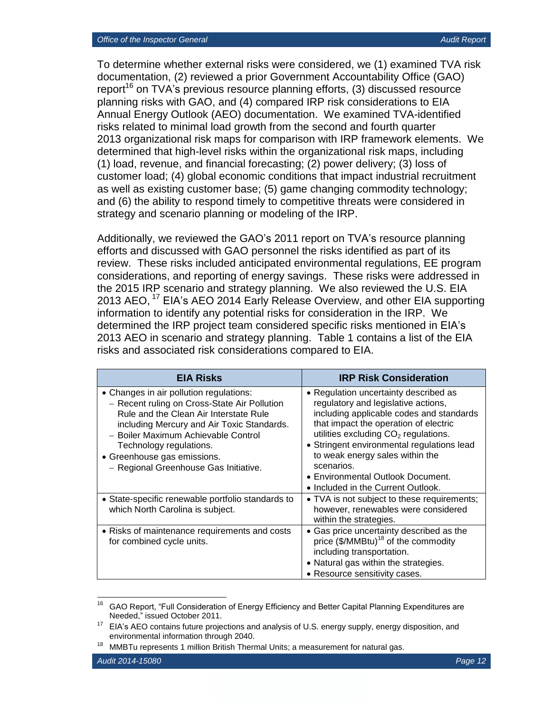To determine whether external risks were considered, we (1) examined TVA risk documentation, (2) reviewed a prior Government Accountability Office (GAO) report<sup>16</sup> on TVA's previous resource planning efforts, (3) discussed resource planning risks with GAO, and (4) compared IRP risk considerations to EIA Annual Energy Outlook (AEO) documentation. We examined TVA-identified risks related to minimal load growth from the second and fourth quarter 2013 organizational risk maps for comparison with IRP framework elements. We determined that high-level risks within the organizational risk maps, including (1) load, revenue, and financial forecasting; (2) power delivery; (3) loss of customer load; (4) global economic conditions that impact industrial recruitment as well as existing customer base; (5) game changing commodity technology; and (6) the ability to respond timely to competitive threats were considered in strategy and scenario planning or modeling of the IRP.

Additionally, we reviewed the GAO's 2011 report on TVA's resource planning efforts and discussed with GAO personnel the risks identified as part of its review. These risks included anticipated environmental regulations, EE program considerations, and reporting of energy savings. These risks were addressed in the 2015 IRP scenario and strategy planning. We also reviewed the U.S. EIA 2013 AEO, <sup>17</sup> EIA's AEO 2014 Early Release Overview, and other EIA supporting information to identify any potential risks for consideration in the IRP. We determined the IRP project team considered specific risks mentioned in EIA's 2013 AEO in scenario and strategy planning. Table 1 contains a list of the EIA risks and associated risk considerations compared to EIA.

| <b>EIA Risks</b>                                                                                                                                                                                                                                                                                                          | <b>IRP Risk Consideration</b>                                                                                                                                                                                                                                                                                                                                                         |
|---------------------------------------------------------------------------------------------------------------------------------------------------------------------------------------------------------------------------------------------------------------------------------------------------------------------------|---------------------------------------------------------------------------------------------------------------------------------------------------------------------------------------------------------------------------------------------------------------------------------------------------------------------------------------------------------------------------------------|
| • Changes in air pollution regulations:<br>- Recent ruling on Cross-State Air Pollution<br>Rule and the Clean Air Interstate Rule<br>including Mercury and Air Toxic Standards.<br>- Boiler Maximum Achievable Control<br>Technology regulations.<br>• Greenhouse gas emissions.<br>- Regional Greenhouse Gas Initiative. | • Regulation uncertainty described as<br>regulatory and legislative actions,<br>including applicable codes and standards<br>that impact the operation of electric<br>utilities excluding $CO2$ regulations.<br>• Stringent environmental regulations lead<br>to weak energy sales within the<br>scenarios.<br>• Environmental Outlook Document.<br>• Included in the Current Outlook. |
| • State-specific renewable portfolio standards to<br>which North Carolina is subject.                                                                                                                                                                                                                                     | • TVA is not subject to these requirements;<br>however, renewables were considered<br>within the strategies.                                                                                                                                                                                                                                                                          |
| • Risks of maintenance requirements and costs<br>for combined cycle units.                                                                                                                                                                                                                                                | • Gas price uncertainty described as the<br>price $(\frac{C}{2} / M M B t u)^{18}$ of the commodity<br>including transportation.<br>• Natural gas within the strategies.<br>• Resource sensitivity cases.                                                                                                                                                                             |

<sup>16</sup> <sup>16</sup> GAO Report, "Full Consideration of Energy Efficiency and Better Capital Planning Expenditures are Needed," issued October 2011.

 $17$  EIA's AEO contains future projections and analysis of U.S. energy supply, energy disposition, and environmental information through 2040.

<sup>&</sup>lt;sup>18</sup> MMBTu represents 1 million British Thermal Units; a measurement for natural gas.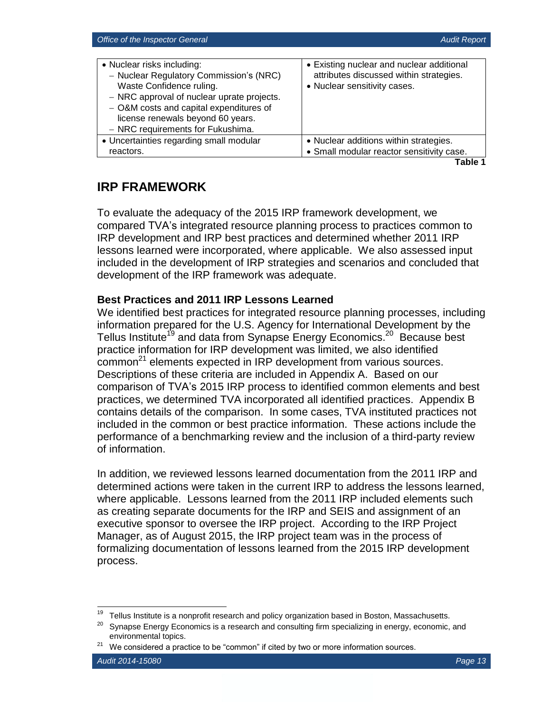| • Nuclear risks including:<br>- Nuclear Regulatory Commission's (NRC)<br>Waste Confidence ruling.<br>- NRC approval of nuclear uprate projects.<br>- O&M costs and capital expenditures of<br>license renewals beyond 60 years.<br>- NRC requirements for Fukushima. | • Existing nuclear and nuclear additional<br>attributes discussed within strategies.<br>• Nuclear sensitivity cases. |
|----------------------------------------------------------------------------------------------------------------------------------------------------------------------------------------------------------------------------------------------------------------------|----------------------------------------------------------------------------------------------------------------------|
| • Uncertainties regarding small modular                                                                                                                                                                                                                              | • Nuclear additions within strategies.                                                                               |
| reactors.                                                                                                                                                                                                                                                            | • Small modular reactor sensitivity case.                                                                            |

**Table 1**

## **IRP FRAMEWORK**

To evaluate the adequacy of the 2015 IRP framework development, we compared TVA's integrated resource planning process to practices common to IRP development and IRP best practices and determined whether 2011 IRP lessons learned were incorporated, where applicable. We also assessed input included in the development of IRP strategies and scenarios and concluded that development of the IRP framework was adequate.

### **Best Practices and 2011 IRP Lessons Learned**

We identified best practices for integrated resource planning processes, including information prepared for the U.S. Agency for International Development by the Tellus Institute<sup>19</sup> and data from Synapse Energy Economics.<sup>20</sup> Because best practice information for IRP development was limited, we also identified common<sup>21</sup> elements expected in IRP development from various sources. Descriptions of these criteria are included in Appendix A. Based on our comparison of TVA's 2015 IRP process to identified common elements and best practices, we determined TVA incorporated all identified practices. Appendix B contains details of the comparison. In some cases, TVA instituted practices not included in the common or best practice information. These actions include the performance of a benchmarking review and the inclusion of a third-party review of information.

In addition, we reviewed lessons learned documentation from the 2011 IRP and determined actions were taken in the current IRP to address the lessons learned, where applicable. Lessons learned from the 2011 IRP included elements such as creating separate documents for the IRP and SEIS and assignment of an executive sponsor to oversee the IRP project. According to the IRP Project Manager, as of August 2015, the IRP project team was in the process of formalizing documentation of lessons learned from the 2015 IRP development process.

<sup>19</sup> <sup>19</sup> Tellus Institute is a nonprofit research and policy organization based in Boston, Massachusetts.

Synapse Energy Economics is a research and consulting firm specializing in energy, economic, and environmental topics.

 $21$  We considered a practice to be "common" if cited by two or more information sources.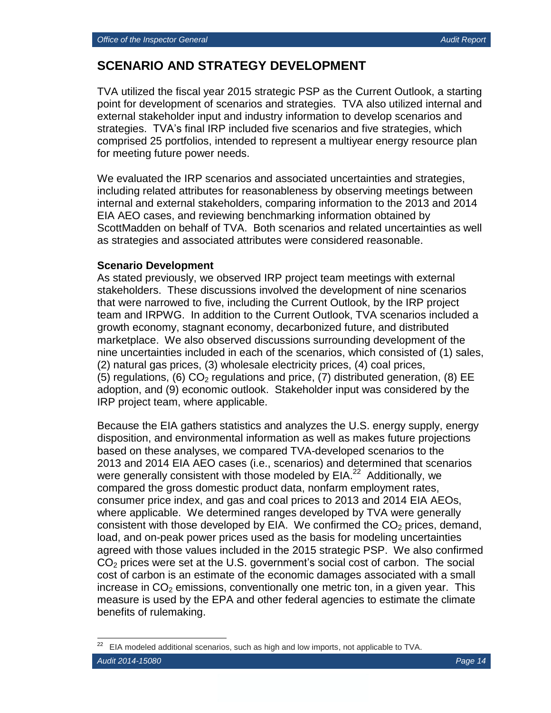## **SCENARIO AND STRATEGY DEVELOPMENT**

TVA utilized the fiscal year 2015 strategic PSP as the Current Outlook, a starting point for development of scenarios and strategies. TVA also utilized internal and external stakeholder input and industry information to develop scenarios and strategies. TVA's final IRP included five scenarios and five strategies, which comprised 25 portfolios, intended to represent a multiyear energy resource plan for meeting future power needs.

We evaluated the IRP scenarios and associated uncertainties and strategies, including related attributes for reasonableness by observing meetings between internal and external stakeholders, comparing information to the 2013 and 2014 EIA AEO cases, and reviewing benchmarking information obtained by ScottMadden on behalf of TVA. Both scenarios and related uncertainties as well as strategies and associated attributes were considered reasonable.

#### **Scenario Development**

As stated previously, we observed IRP project team meetings with external stakeholders. These discussions involved the development of nine scenarios that were narrowed to five, including the Current Outlook, by the IRP project team and IRPWG. In addition to the Current Outlook, TVA scenarios included a growth economy, stagnant economy, decarbonized future, and distributed marketplace. We also observed discussions surrounding development of the nine uncertainties included in each of the scenarios, which consisted of (1) sales, (2) natural gas prices, (3) wholesale electricity prices, (4) coal prices, (5) regulations, (6)  $CO<sub>2</sub>$  regulations and price, (7) distributed generation, (8) EE adoption, and (9) economic outlook. Stakeholder input was considered by the IRP project team, where applicable.

Because the EIA gathers statistics and analyzes the U.S. energy supply, energy disposition, and environmental information as well as makes future projections based on these analyses, we compared TVA-developed scenarios to the 2013 and 2014 EIA AEO cases (i.e., scenarios) and determined that scenarios were generally consistent with those modeled by EIA.<sup>22</sup> Additionally, we compared the gross domestic product data, nonfarm employment rates, consumer price index, and gas and coal prices to 2013 and 2014 EIA AEOs, where applicable. We determined ranges developed by TVA were generally consistent with those developed by EIA. We confirmed the  $CO<sub>2</sub>$  prices, demand, load, and on-peak power prices used as the basis for modeling uncertainties agreed with those values included in the 2015 strategic PSP. We also confirmed  $CO<sub>2</sub>$  prices were set at the U.S. government's social cost of carbon. The social cost of carbon is an estimate of the economic damages associated with a small increase in  $CO<sub>2</sub>$  emissions, conventionally one metric ton, in a given year. This measure is used by the EPA and other federal agencies to estimate the climate benefits of rulemaking.

EIA modeled additional scenarios, such as high and low imports, not applicable to TVA.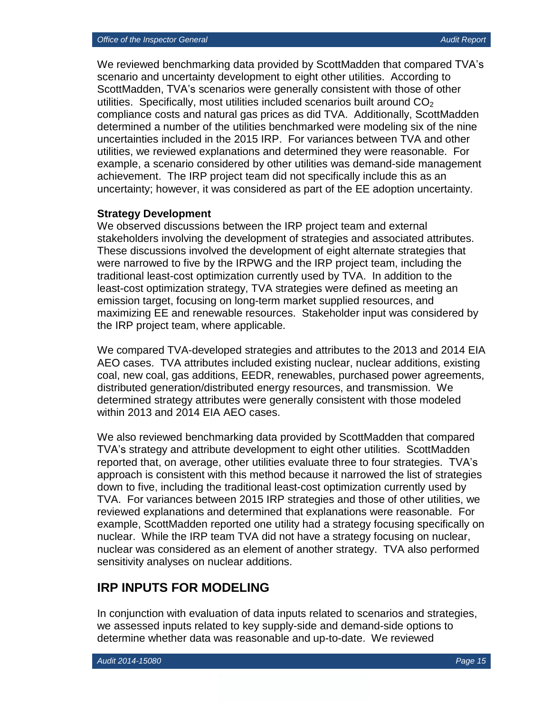We reviewed benchmarking data provided by ScottMadden that compared TVA's scenario and uncertainty development to eight other utilities. According to ScottMadden, TVA's scenarios were generally consistent with those of other utilities. Specifically, most utilities included scenarios built around  $CO<sub>2</sub>$ compliance costs and natural gas prices as did TVA. Additionally, ScottMadden determined a number of the utilities benchmarked were modeling six of the nine uncertainties included in the 2015 IRP. For variances between TVA and other utilities, we reviewed explanations and determined they were reasonable. For example, a scenario considered by other utilities was demand-side management achievement. The IRP project team did not specifically include this as an uncertainty; however, it was considered as part of the EE adoption uncertainty.

#### **Strategy Development**

We observed discussions between the IRP project team and external stakeholders involving the development of strategies and associated attributes. These discussions involved the development of eight alternate strategies that were narrowed to five by the IRPWG and the IRP project team, including the traditional least-cost optimization currently used by TVA. In addition to the least-cost optimization strategy, TVA strategies were defined as meeting an emission target, focusing on long-term market supplied resources, and maximizing EE and renewable resources. Stakeholder input was considered by the IRP project team, where applicable.

We compared TVA-developed strategies and attributes to the 2013 and 2014 EIA AEO cases. TVA attributes included existing nuclear, nuclear additions, existing coal, new coal, gas additions, EEDR, renewables, purchased power agreements, distributed generation/distributed energy resources, and transmission. We determined strategy attributes were generally consistent with those modeled within 2013 and 2014 EIA AEO cases.

We also reviewed benchmarking data provided by ScottMadden that compared TVA's strategy and attribute development to eight other utilities. ScottMadden reported that, on average, other utilities evaluate three to four strategies. TVA's approach is consistent with this method because it narrowed the list of strategies down to five, including the traditional least-cost optimization currently used by TVA. For variances between 2015 IRP strategies and those of other utilities, we reviewed explanations and determined that explanations were reasonable. For example, ScottMadden reported one utility had a strategy focusing specifically on nuclear. While the IRP team TVA did not have a strategy focusing on nuclear, nuclear was considered as an element of another strategy. TVA also performed sensitivity analyses on nuclear additions.

## **IRP INPUTS FOR MODELING**

In conjunction with evaluation of data inputs related to scenarios and strategies, we assessed inputs related to key supply-side and demand-side options to determine whether data was reasonable and up-to-date. We reviewed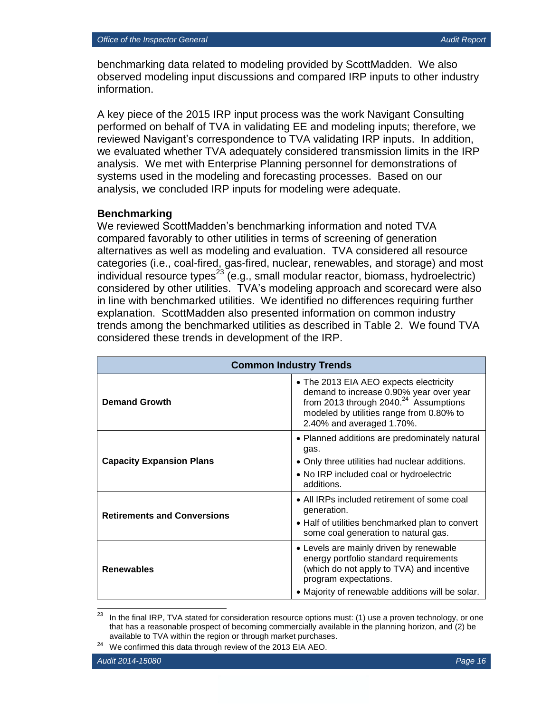benchmarking data related to modeling provided by ScottMadden. We also observed modeling input discussions and compared IRP inputs to other industry information.

A key piece of the 2015 IRP input process was the work Navigant Consulting performed on behalf of TVA in validating EE and modeling inputs; therefore, we reviewed Navigant's correspondence to TVA validating IRP inputs. In addition, we evaluated whether TVA adequately considered transmission limits in the IRP analysis. We met with Enterprise Planning personnel for demonstrations of systems used in the modeling and forecasting processes. Based on our analysis, we concluded IRP inputs for modeling were adequate.

#### **Benchmarking**

We reviewed ScottMadden's benchmarking information and noted TVA compared favorably to other utilities in terms of screening of generation alternatives as well as modeling and evaluation. TVA considered all resource categories (i.e., coal-fired, gas-fired, nuclear, renewables, and storage) and most individual resource types<sup>23</sup> (e.g., small modular reactor, biomass, hydroelectric) considered by other utilities. TVA's modeling approach and scorecard were also in line with benchmarked utilities. We identified no differences requiring further explanation. ScottMadden also presented information on common industry trends among the benchmarked utilities as described in Table 2. We found TVA considered these trends in development of the IRP.

| <b>Common Industry Trends</b>      |                                                                                                                                                                                                                 |  |  |  |  |  |
|------------------------------------|-----------------------------------------------------------------------------------------------------------------------------------------------------------------------------------------------------------------|--|--|--|--|--|
| <b>Demand Growth</b>               | • The 2013 EIA AEO expects electricity<br>demand to increase 0.90% year over year<br>from 2013 through 2040. <sup>24</sup> Assumptions<br>modeled by utilities range from 0.80% to<br>2.40% and averaged 1.70%. |  |  |  |  |  |
| <b>Capacity Expansion Plans</b>    | • Planned additions are predominately natural<br>gas.<br>• Only three utilities had nuclear additions.<br>• No IRP included coal or hydroelectric<br>additions.                                                 |  |  |  |  |  |
| <b>Retirements and Conversions</b> | • All IRPs included retirement of some coal<br>generation.<br>• Half of utilities benchmarked plan to convert<br>some coal generation to natural gas.                                                           |  |  |  |  |  |
| <b>Renewables</b>                  | • Levels are mainly driven by renewable<br>energy portfolio standard requirements<br>(which do not apply to TVA) and incentive<br>program expectations.<br>• Majority of renewable additions will be solar.     |  |  |  |  |  |

<sup>23</sup> In the final IRP, TVA stated for consideration resource options must: (1) use a proven technology, or one that has a reasonable prospect of becoming commercially available in the planning horizon, and (2) be available to TVA within the region or through market purchases.

<sup>&</sup>lt;sup>24</sup> We confirmed this data through review of the 2013 EIA AEO.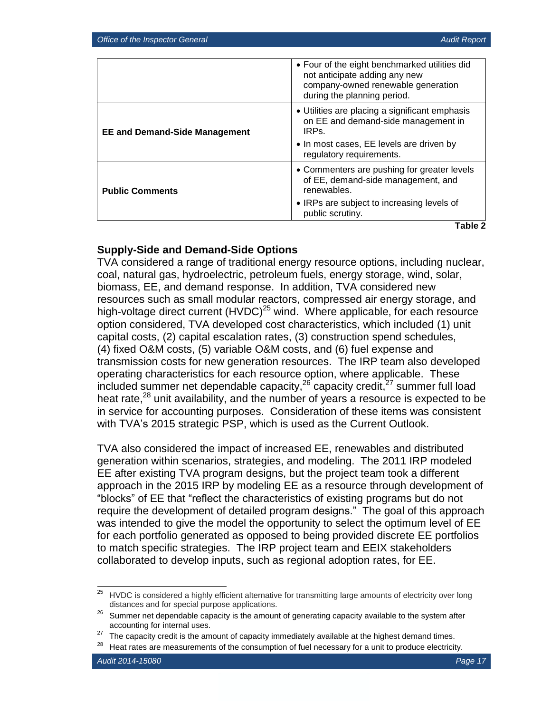|                                      | • Four of the eight benchmarked utilities did<br>not anticipate adding any new<br>company-owned renewable generation<br>during the planning period.   |
|--------------------------------------|-------------------------------------------------------------------------------------------------------------------------------------------------------|
| <b>EE and Demand-Side Management</b> | • Utilities are placing a significant emphasis<br>on EE and demand-side management in<br>IRP <sub>S</sub><br>• In most cases, EE levels are driven by |
|                                      | regulatory requirements.                                                                                                                              |
| <b>Public Comments</b>               | • Commenters are pushing for greater levels<br>of EE, demand-side management, and<br>renewables.                                                      |
|                                      | • IRPs are subject to increasing levels of<br>public scrutiny.                                                                                        |
|                                      | Table 2                                                                                                                                               |

#### **Supply-Side and Demand-Side Options**

TVA considered a range of traditional energy resource options, including nuclear, coal, natural gas, hydroelectric, petroleum fuels, energy storage, wind, solar, biomass, EE, and demand response. In addition, TVA considered new resources such as small modular reactors, compressed air energy storage, and high-voltage direct current  $(HVDC)^{25}$  wind. Where applicable, for each resource option considered, TVA developed cost characteristics, which included (1) unit capital costs, (2) capital escalation rates, (3) construction spend schedules, (4) fixed O&M costs, (5) variable O&M costs, and (6) fuel expense and transmission costs for new generation resources. The IRP team also developed operating characteristics for each resource option, where applicable. These included summer net dependable capacity,  $26$  capacity credit,  $27$  summer full load heat rate,<sup>28</sup> unit availability, and the number of years a resource is expected to be in service for accounting purposes. Consideration of these items was consistent with TVA's 2015 strategic PSP, which is used as the Current Outlook.

TVA also considered the impact of increased EE, renewables and distributed generation within scenarios, strategies, and modeling. The 2011 IRP modeled EE after existing TVA program designs, but the project team took a different approach in the 2015 IRP by modeling EE as a resource through development of "blocks" of EE that "reflect the characteristics of existing programs but do not require the development of detailed program designs." The goal of this approach was intended to give the model the opportunity to select the optimum level of EE for each portfolio generated as opposed to being provided discrete EE portfolios to match specific strategies. The IRP project team and EEIX stakeholders collaborated to develop inputs, such as regional adoption rates, for EE.

<sup>25</sup> <sup>25</sup> HVDC is considered a highly efficient alternative for transmitting large amounts of electricity over long distances and for special purpose applications.

 $26$  Summer net dependable capacity is the amount of generating capacity available to the system after accounting for internal uses.

 $27$  The capacity credit is the amount of capacity immediately available at the highest demand times.

 $28$  Heat rates are measurements of the consumption of fuel necessary for a unit to produce electricity.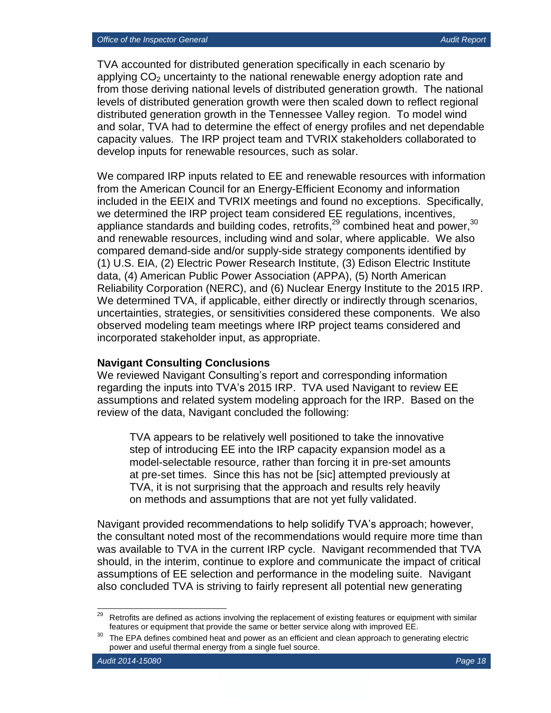TVA accounted for distributed generation specifically in each scenario by applying  $CO<sub>2</sub>$  uncertainty to the national renewable energy adoption rate and from those deriving national levels of distributed generation growth. The national levels of distributed generation growth were then scaled down to reflect regional distributed generation growth in the Tennessee Valley region. To model wind and solar, TVA had to determine the effect of energy profiles and net dependable capacity values. The IRP project team and TVRIX stakeholders collaborated to develop inputs for renewable resources, such as solar.

We compared IRP inputs related to EE and renewable resources with information from the American Council for an Energy-Efficient Economy and information included in the EEIX and TVRIX meetings and found no exceptions. Specifically, we determined the IRP project team considered EE regulations, incentives, appliance standards and building codes, retrofits,  $^{29}$  combined heat and power,  $^{30}$ and renewable resources, including wind and solar, where applicable. We also compared demand-side and/or supply-side strategy components identified by (1) U.S. EIA, (2) Electric Power Research Institute, (3) Edison Electric Institute data, (4) American Public Power Association (APPA), (5) North American Reliability Corporation (NERC), and (6) Nuclear Energy Institute to the 2015 IRP. We determined TVA, if applicable, either directly or indirectly through scenarios, uncertainties, strategies, or sensitivities considered these components. We also observed modeling team meetings where IRP project teams considered and incorporated stakeholder input, as appropriate.

#### **Navigant Consulting Conclusions**

We reviewed Navigant Consulting's report and corresponding information regarding the inputs into TVA's 2015 IRP. TVA used Navigant to review EE assumptions and related system modeling approach for the IRP. Based on the review of the data, Navigant concluded the following:

TVA appears to be relatively well positioned to take the innovative step of introducing EE into the IRP capacity expansion model as a model-selectable resource, rather than forcing it in pre-set amounts at pre-set times. Since this has not be [sic] attempted previously at TVA, it is not surprising that the approach and results rely heavily on methods and assumptions that are not yet fully validated.

Navigant provided recommendations to help solidify TVA's approach; however, the consultant noted most of the recommendations would require more time than was available to TVA in the current IRP cycle. Navigant recommended that TVA should, in the interim, continue to explore and communicate the impact of critical assumptions of EE selection and performance in the modeling suite. Navigant also concluded TVA is striving to fairly represent all potential new generating

<sup>29</sup> Retrofits are defined as actions involving the replacement of existing features or equipment with similar features or equipment that provide the same or better service along with improved EE.

The EPA defines combined heat and power as an efficient and clean approach to generating electric power and useful thermal energy from a single fuel source.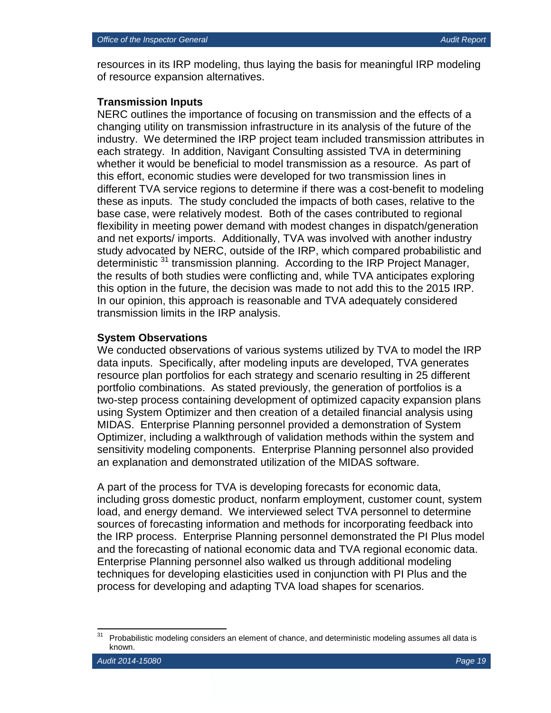resources in its IRP modeling, thus laying the basis for meaningful IRP modeling of resource expansion alternatives.

#### **Transmission Inputs**

NERC outlines the importance of focusing on transmission and the effects of a changing utility on transmission infrastructure in its analysis of the future of the industry. We determined the IRP project team included transmission attributes in each strategy. In addition, Navigant Consulting assisted TVA in determining whether it would be beneficial to model transmission as a resource. As part of this effort, economic studies were developed for two transmission lines in different TVA service regions to determine if there was a cost-benefit to modeling these as inputs. The study concluded the impacts of both cases, relative to the base case, were relatively modest. Both of the cases contributed to regional flexibility in meeting power demand with modest changes in dispatch/generation and net exports/ imports. Additionally, TVA was involved with another industry study advocated by NERC, outside of the IRP, which compared probabilistic and deterministic <sup>31</sup> transmission planning. According to the IRP Project Manager, the results of both studies were conflicting and, while TVA anticipates exploring this option in the future, the decision was made to not add this to the 2015 IRP. In our opinion, this approach is reasonable and TVA adequately considered transmission limits in the IRP analysis.

#### **System Observations**

We conducted observations of various systems utilized by TVA to model the IRP data inputs. Specifically, after modeling inputs are developed, TVA generates resource plan portfolios for each strategy and scenario resulting in 25 different portfolio combinations. As stated previously, the generation of portfolios is a two-step process containing development of optimized capacity expansion plans using System Optimizer and then creation of a detailed financial analysis using MIDAS. Enterprise Planning personnel provided a demonstration of System Optimizer, including a walkthrough of validation methods within the system and sensitivity modeling components. Enterprise Planning personnel also provided an explanation and demonstrated utilization of the MIDAS software.

A part of the process for TVA is developing forecasts for economic data, including gross domestic product, nonfarm employment, customer count, system load, and energy demand. We interviewed select TVA personnel to determine sources of forecasting information and methods for incorporating feedback into the IRP process. Enterprise Planning personnel demonstrated the PI Plus model and the forecasting of national economic data and TVA regional economic data. Enterprise Planning personnel also walked us through additional modeling techniques for developing elasticities used in conjunction with PI Plus and the process for developing and adapting TVA load shapes for scenarios.

 $\overline{\phantom{a}}$ 

Probabilistic modeling considers an element of chance, and deterministic modeling assumes all data is known.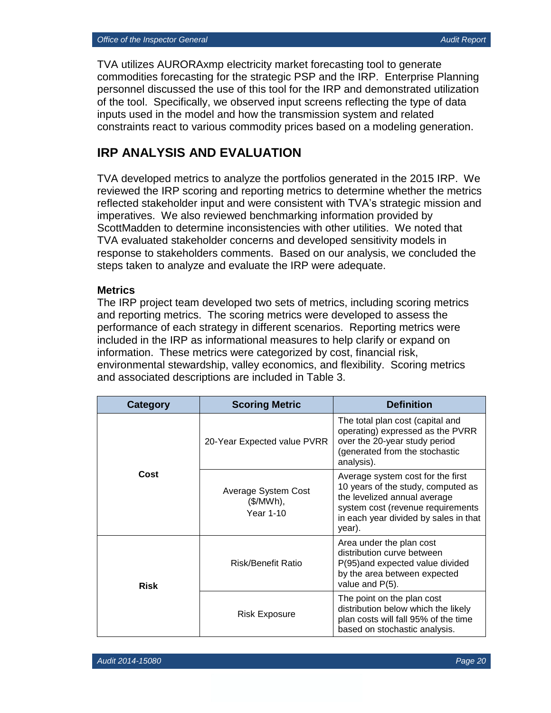TVA utilizes AURORAxmp electricity market forecasting tool to generate commodities forecasting for the strategic PSP and the IRP. Enterprise Planning personnel discussed the use of this tool for the IRP and demonstrated utilization of the tool. Specifically, we observed input screens reflecting the type of data inputs used in the model and how the transmission system and related constraints react to various commodity prices based on a modeling generation.

## **IRP ANALYSIS AND EVALUATION**

TVA developed metrics to analyze the portfolios generated in the 2015 IRP. We reviewed the IRP scoring and reporting metrics to determine whether the metrics reflected stakeholder input and were consistent with TVA's strategic mission and imperatives. We also reviewed benchmarking information provided by ScottMadden to determine inconsistencies with other utilities. We noted that TVA evaluated stakeholder concerns and developed sensitivity models in response to stakeholders comments. Based on our analysis, we concluded the steps taken to analyze and evaluate the IRP were adequate.

#### **Metrics**

The IRP project team developed two sets of metrics, including scoring metrics and reporting metrics. The scoring metrics were developed to assess the performance of each strategy in different scenarios. Reporting metrics were included in the IRP as informational measures to help clarify or expand on information. These metrics were categorized by cost, financial risk, environmental stewardship, valley economics, and flexibility. Scoring metrics and associated descriptions are included in Table 3.

| Category    | <b>Scoring Metric</b>                         | <b>Definition</b>                                                                                                                                                                               |
|-------------|-----------------------------------------------|-------------------------------------------------------------------------------------------------------------------------------------------------------------------------------------------------|
|             | 20-Year Expected value PVRR                   | The total plan cost (capital and<br>operating) expressed as the PVRR<br>over the 20-year study period<br>(generated from the stochastic<br>analysis).                                           |
| Cost        | Average System Cost<br>(\$/MWh),<br>Year 1-10 | Average system cost for the first<br>10 years of the study, computed as<br>the levelized annual average<br>system cost (revenue requirements<br>in each year divided by sales in that<br>year). |
| <b>Risk</b> | Risk/Benefit Ratio                            | Area under the plan cost<br>distribution curve between<br>P(95)and expected value divided<br>by the area between expected<br>value and P(5).                                                    |
|             | <b>Risk Exposure</b>                          | The point on the plan cost<br>distribution below which the likely<br>plan costs will fall 95% of the time<br>based on stochastic analysis.                                                      |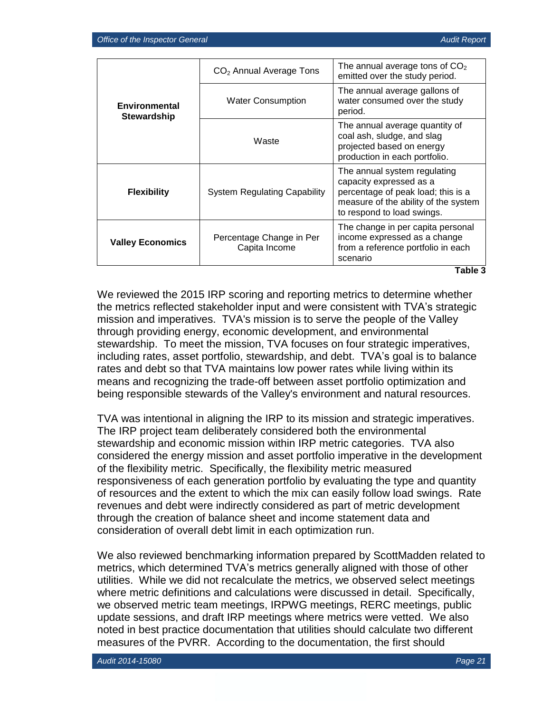|                                     | $CO2$ Annual Average Tons                 | The annual average tons of $CO2$<br>emitted over the study period.                                                                                                  |  |  |  |
|-------------------------------------|-------------------------------------------|---------------------------------------------------------------------------------------------------------------------------------------------------------------------|--|--|--|
| Environmental<br><b>Stewardship</b> | <b>Water Consumption</b>                  | The annual average gallons of<br>water consumed over the study<br>period.                                                                                           |  |  |  |
|                                     | Waste                                     | The annual average quantity of<br>coal ash, sludge, and slag<br>projected based on energy<br>production in each portfolio.                                          |  |  |  |
| <b>Flexibility</b>                  | <b>System Regulating Capability</b>       | The annual system regulating<br>capacity expressed as a<br>percentage of peak load; this is a<br>measure of the ability of the system<br>to respond to load swings. |  |  |  |
| <b>Valley Economics</b>             | Percentage Change in Per<br>Capita Income | The change in per capita personal<br>income expressed as a change<br>from a reference portfolio in each<br>scenario                                                 |  |  |  |

**Table 3**

We reviewed the 2015 IRP scoring and reporting metrics to determine whether the metrics reflected stakeholder input and were consistent with TVA's strategic mission and imperatives. TVA's mission is to serve the people of the Valley through providing energy, economic development, and environmental stewardship. To meet the mission, TVA focuses on four strategic imperatives, including rates, asset portfolio, stewardship, and debt. TVA's goal is to balance rates and debt so that TVA maintains low power rates while living within its means and recognizing the trade-off between asset portfolio optimization and being responsible stewards of the Valley's environment and natural resources.

TVA was intentional in aligning the IRP to its mission and strategic imperatives. The IRP project team deliberately considered both the environmental stewardship and economic mission within IRP metric categories. TVA also considered the energy mission and asset portfolio imperative in the development of the flexibility metric. Specifically, the flexibility metric measured responsiveness of each generation portfolio by evaluating the type and quantity of resources and the extent to which the mix can easily follow load swings. Rate revenues and debt were indirectly considered as part of metric development through the creation of balance sheet and income statement data and consideration of overall debt limit in each optimization run.

We also reviewed benchmarking information prepared by ScottMadden related to metrics, which determined TVA's metrics generally aligned with those of other utilities. While we did not recalculate the metrics, we observed select meetings where metric definitions and calculations were discussed in detail. Specifically, we observed metric team meetings, IRPWG meetings, RERC meetings, public update sessions, and draft IRP meetings where metrics were vetted. We also noted in best practice documentation that utilities should calculate two different measures of the PVRR. According to the documentation, the first should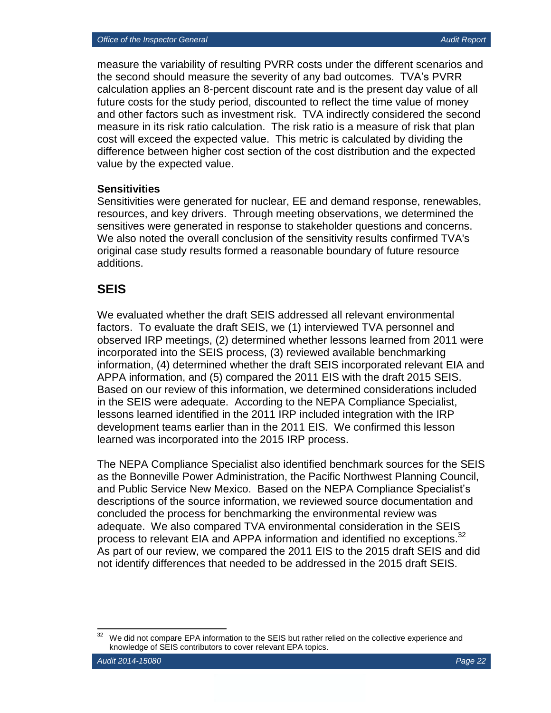measure the variability of resulting PVRR costs under the different scenarios and the second should measure the severity of any bad outcomes. TVA's PVRR calculation applies an 8-percent discount rate and is the present day value of all future costs for the study period, discounted to reflect the time value of money and other factors such as investment risk. TVA indirectly considered the second measure in its risk ratio calculation. The risk ratio is a measure of risk that plan cost will exceed the expected value. This metric is calculated by dividing the difference between higher cost section of the cost distribution and the expected value by the expected value.

#### **Sensitivities**

Sensitivities were generated for nuclear, EE and demand response, renewables, resources, and key drivers. Through meeting observations, we determined the sensitives were generated in response to stakeholder questions and concerns. We also noted the overall conclusion of the sensitivity results confirmed TVA's original case study results formed a reasonable boundary of future resource additions.

## **SEIS**

We evaluated whether the draft SEIS addressed all relevant environmental factors. To evaluate the draft SEIS, we (1) interviewed TVA personnel and observed IRP meetings, (2) determined whether lessons learned from 2011 were incorporated into the SEIS process, (3) reviewed available benchmarking information, (4) determined whether the draft SEIS incorporated relevant EIA and APPA information, and (5) compared the 2011 EIS with the draft 2015 SEIS. Based on our review of this information, we determined considerations included in the SEIS were adequate. According to the NEPA Compliance Specialist, lessons learned identified in the 2011 IRP included integration with the IRP development teams earlier than in the 2011 EIS. We confirmed this lesson learned was incorporated into the 2015 IRP process.

The NEPA Compliance Specialist also identified benchmark sources for the SEIS as the Bonneville Power Administration, the Pacific Northwest Planning Council, and Public Service New Mexico. Based on the NEPA Compliance Specialist's descriptions of the source information, we reviewed source documentation and concluded the process for benchmarking the environmental review was adequate. We also compared TVA environmental consideration in the SEIS process to relevant EIA and APPA information and identified no exceptions.<sup>32</sup> As part of our review, we compared the 2011 EIS to the 2015 draft SEIS and did not identify differences that needed to be addressed in the 2015 draft SEIS.

 $\overline{\phantom{a}}$ 

We did not compare EPA information to the SEIS but rather relied on the collective experience and knowledge of SEIS contributors to cover relevant EPA topics.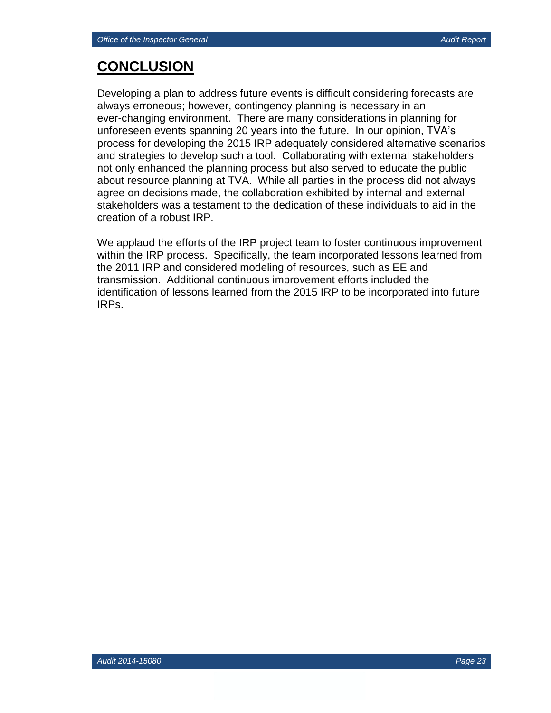## **CONCLUSION**

Developing a plan to address future events is difficult considering forecasts are always erroneous; however, contingency planning is necessary in an ever-changing environment. There are many considerations in planning for unforeseen events spanning 20 years into the future. In our opinion, TVA's process for developing the 2015 IRP adequately considered alternative scenarios and strategies to develop such a tool. Collaborating with external stakeholders not only enhanced the planning process but also served to educate the public about resource planning at TVA. While all parties in the process did not always agree on decisions made, the collaboration exhibited by internal and external stakeholders was a testament to the dedication of these individuals to aid in the creation of a robust IRP.

We applaud the efforts of the IRP project team to foster continuous improvement within the IRP process. Specifically, the team incorporated lessons learned from the 2011 IRP and considered modeling of resources, such as EE and transmission. Additional continuous improvement efforts included the identification of lessons learned from the 2015 IRP to be incorporated into future IRPs.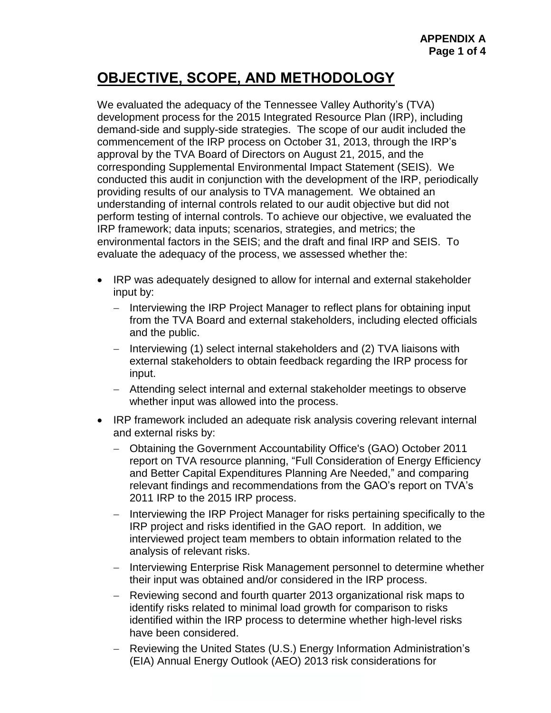## **OBJECTIVE, SCOPE, AND METHODOLOGY**

We evaluated the adequacy of the Tennessee Valley Authority's (TVA) development process for the 2015 Integrated Resource Plan (IRP), including demand-side and supply-side strategies. The scope of our audit included the commencement of the IRP process on October 31, 2013, through the IRP's approval by the TVA Board of Directors on August 21, 2015, and the corresponding Supplemental Environmental Impact Statement (SEIS). We conducted this audit in conjunction with the development of the IRP, periodically providing results of our analysis to TVA management. We obtained an understanding of internal controls related to our audit objective but did not perform testing of internal controls. To achieve our objective, we evaluated the IRP framework; data inputs; scenarios, strategies, and metrics; the environmental factors in the SEIS; and the draft and final IRP and SEIS. To evaluate the adequacy of the process, we assessed whether the:

- IRP was adequately designed to allow for internal and external stakeholder input by:
	- Interviewing the IRP Project Manager to reflect plans for obtaining input from the TVA Board and external stakeholders, including elected officials and the public.
	- Interviewing (1) select internal stakeholders and (2) TVA liaisons with external stakeholders to obtain feedback regarding the IRP process for input.
	- Attending select internal and external stakeholder meetings to observe whether input was allowed into the process.
- IRP framework included an adequate risk analysis covering relevant internal and external risks by:
	- Obtaining the Government Accountability Office's (GAO) October 2011 report on TVA resource planning, "Full Consideration of Energy Efficiency and Better Capital Expenditures Planning Are Needed," and comparing relevant findings and recommendations from the GAO's report on TVA's 2011 IRP to the 2015 IRP process.
	- Interviewing the IRP Project Manager for risks pertaining specifically to the IRP project and risks identified in the GAO report. In addition, we interviewed project team members to obtain information related to the analysis of relevant risks.
	- Interviewing Enterprise Risk Management personnel to determine whether their input was obtained and/or considered in the IRP process.
	- Reviewing second and fourth quarter 2013 organizational risk maps to identify risks related to minimal load growth for comparison to risks identified within the IRP process to determine whether high-level risks have been considered.
	- Reviewing the United States (U.S.) Energy Information Administration's (EIA) Annual Energy Outlook (AEO) 2013 risk considerations for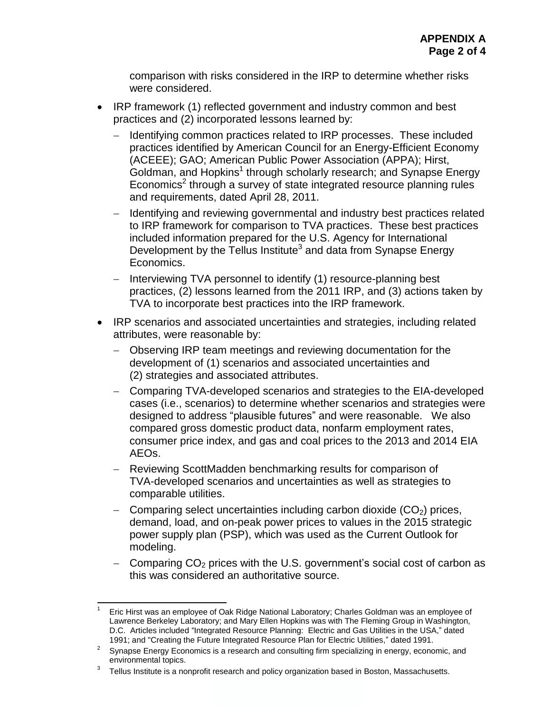comparison with risks considered in the IRP to determine whether risks were considered.

- IRP framework (1) reflected government and industry common and best practices and (2) incorporated lessons learned by:
	- Identifying common practices related to IRP processes. These included practices identified by American Council for an Energy-Efficient Economy (ACEEE); GAO; American Public Power Association (APPA); Hirst, Goldman, and Hopkins<sup>1</sup> through scholarly research; and Synapse Energy Economics<sup>2</sup> through a survey of state integrated resource planning rules and requirements, dated April 28, 2011.
	- Identifying and reviewing governmental and industry best practices related to IRP framework for comparison to TVA practices. These best practices included information prepared for the U.S. Agency for International Development by the Tellus Institute<sup>3</sup> and data from Synapse Energy Economics.
	- Interviewing TVA personnel to identify (1) resource-planning best practices, (2) lessons learned from the 2011 IRP, and (3) actions taken by TVA to incorporate best practices into the IRP framework.
- IRP scenarios and associated uncertainties and strategies, including related attributes, were reasonable by:
	- Observing IRP team meetings and reviewing documentation for the development of (1) scenarios and associated uncertainties and (2) strategies and associated attributes.
	- Comparing TVA-developed scenarios and strategies to the EIA-developed cases (i.e., scenarios) to determine whether scenarios and strategies were designed to address "plausible futures" and were reasonable. We also compared gross domestic product data, nonfarm employment rates, consumer price index, and gas and coal prices to the 2013 and 2014 EIA AEOs.
	- Reviewing ScottMadden benchmarking results for comparison of TVA-developed scenarios and uncertainties as well as strategies to comparable utilities.
	- Comparing select uncertainties including carbon dioxide  $(CO<sub>2</sub>)$  prices, demand, load, and on-peak power prices to values in the 2015 strategic power supply plan (PSP), which was used as the Current Outlook for modeling.
	- Comparing  $CO<sub>2</sub>$  prices with the U.S. government's social cost of carbon as this was considered an authoritative source.

 1 Eric Hirst was an employee of Oak Ridge National Laboratory; Charles Goldman was an employee of Lawrence Berkeley Laboratory; and Mary Ellen Hopkins was with The Fleming Group in Washington, D.C. Articles included "Integrated Resource Planning: Electric and Gas Utilities in the USA," dated 1991; and "Creating the Future Integrated Resource Plan for Electric Utilities," dated 1991.

<sup>&</sup>lt;sup>2</sup> Synapse Energy Economics is a research and consulting firm specializing in energy, economic, and environmental topics.

<sup>3</sup> Tellus Institute is a nonprofit research and policy organization based in Boston, Massachusetts.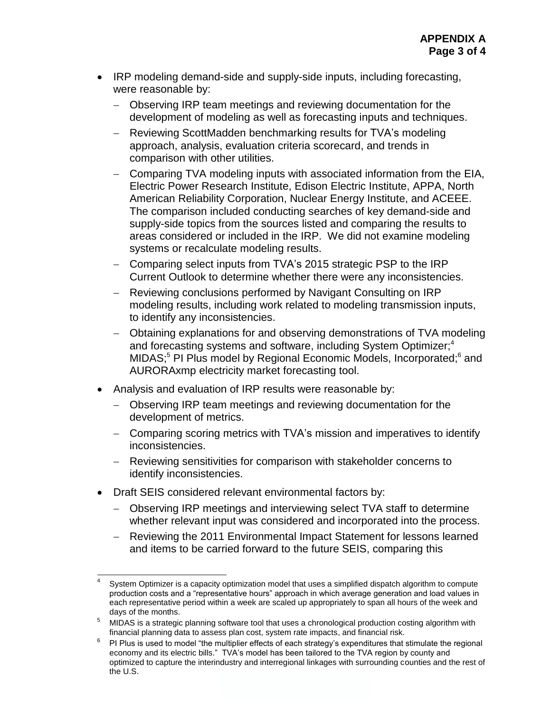- IRP modeling demand-side and supply-side inputs, including forecasting, were reasonable by:
	- Observing IRP team meetings and reviewing documentation for the development of modeling as well as forecasting inputs and techniques.
	- Reviewing ScottMadden benchmarking results for TVA's modeling approach, analysis, evaluation criteria scorecard, and trends in comparison with other utilities.
	- Comparing TVA modeling inputs with associated information from the EIA, Electric Power Research Institute, Edison Electric Institute, APPA, North American Reliability Corporation, Nuclear Energy Institute, and ACEEE. The comparison included conducting searches of key demand-side and supply-side topics from the sources listed and comparing the results to areas considered or included in the IRP. We did not examine modeling systems or recalculate modeling results.
	- Comparing select inputs from TVA's 2015 strategic PSP to the IRP Current Outlook to determine whether there were any inconsistencies.
	- Reviewing conclusions performed by Navigant Consulting on IRP modeling results, including work related to modeling transmission inputs, to identify any inconsistencies.
	- Obtaining explanations for and observing demonstrations of TVA modeling and forecasting systems and software, including System Optimizer; 4 MIDAS;<sup>5</sup> PI Plus model by Regional Economic Models, Incorporated;<sup>6</sup> and AURORAxmp electricity market forecasting tool.
- Analysis and evaluation of IRP results were reasonable by:
	- Observing IRP team meetings and reviewing documentation for the development of metrics.
	- Comparing scoring metrics with TVA's mission and imperatives to identify inconsistencies.
	- Reviewing sensitivities for comparison with stakeholder concerns to identify inconsistencies.
- Draft SEIS considered relevant environmental factors by:
	- Observing IRP meetings and interviewing select TVA staff to determine whether relevant input was considered and incorporated into the process.
	- Reviewing the 2011 Environmental Impact Statement for lessons learned and items to be carried forward to the future SEIS, comparing this

 $\frac{1}{4}$ System Optimizer is a capacity optimization model that uses a simplified dispatch algorithm to compute production costs and a "representative hours" approach in which average generation and load values in each representative period within a week are scaled up appropriately to span all hours of the week and days of the months.

<sup>&</sup>lt;sup>5</sup> MIDAS is a strategic planning software tool that uses a chronological production costing algorithm with financial planning data to assess plan cost, system rate impacts, and financial risk.

<sup>6</sup> PI Plus is used to model "the multiplier effects of each strategy's expenditures that stimulate the regional economy and its electric bills." TVA's model has been tailored to the TVA region by county and optimized to capture the interindustry and interregional linkages with surrounding counties and the rest of the U.S.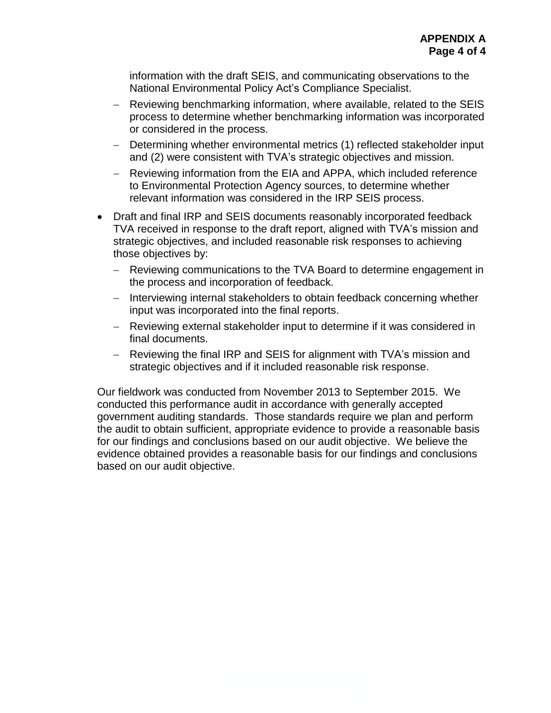information with the draft SEIS, and communicating observations to the National Environmental Policy Act's Compliance Specialist.

- Reviewing benchmarking information, where available, related to the SEIS process to determine whether benchmarking information was incorporated or considered in the process.
- Determining whether environmental metrics (1) reflected stakeholder input and (2) were consistent with TVA's strategic objectives and mission.
- Reviewing information from the EIA and APPA, which included reference to Environmental Protection Agency sources, to determine whether relevant information was considered in the IRP SEIS process.
- Draft and final IRP and SEIS documents reasonably incorporated feedback TVA received in response to the draft report, aligned with TVA's mission and strategic objectives, and included reasonable risk responses to achieving those objectives by:
	- Reviewing communications to the TVA Board to determine engagement in the process and incorporation of feedback.
	- Interviewing internal stakeholders to obtain feedback concerning whether input was incorporated into the final reports.
	- Reviewing external stakeholder input to determine if it was considered in final documents.
	- Reviewing the final IRP and SEIS for alignment with TVA's mission and strategic objectives and if it included reasonable risk response.

Our fieldwork was conducted from November 2013 to September 2015. We conducted this performance audit in accordance with generally accepted government auditing standards. Those standards require we plan and perform the audit to obtain sufficient, appropriate evidence to provide a reasonable basis for our findings and conclusions based on our audit objective. We believe the evidence obtained provides a reasonable basis for our findings and conclusions based on our audit objective.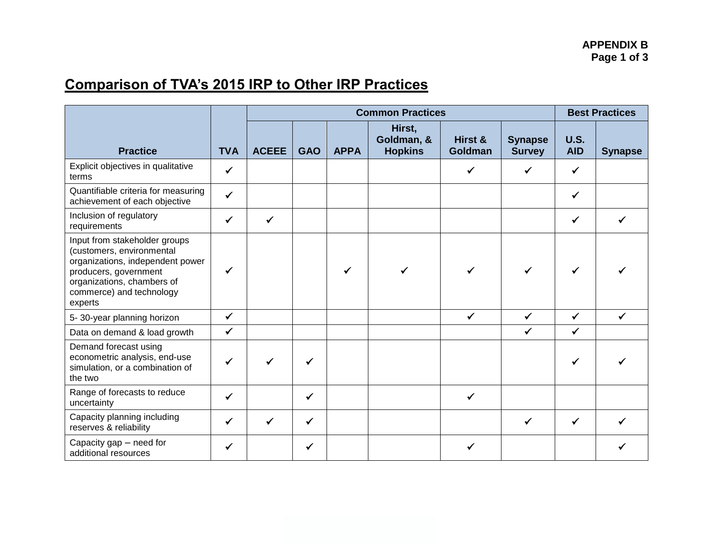# **Comparison of TVA's 2015 IRP to Other IRP Practices**

|                                                                                                                                                                                              |              | <b>Common Practices</b> |            |             |                                        |                    |                                 | <b>Best Practices</b>     |                |
|----------------------------------------------------------------------------------------------------------------------------------------------------------------------------------------------|--------------|-------------------------|------------|-------------|----------------------------------------|--------------------|---------------------------------|---------------------------|----------------|
| <b>Practice</b>                                                                                                                                                                              | <b>TVA</b>   | <b>ACEEE</b>            | <b>GAO</b> | <b>APPA</b> | Hirst,<br>Goldman, &<br><b>Hopkins</b> | Hirst &<br>Goldman | <b>Synapse</b><br><b>Survey</b> | <b>U.S.</b><br><b>AID</b> | <b>Synapse</b> |
| Explicit objectives in qualitative<br>terms                                                                                                                                                  | $\checkmark$ |                         |            |             |                                        | $\checkmark$       | ✓                               | $\checkmark$              |                |
| Quantifiable criteria for measuring<br>achievement of each objective                                                                                                                         | $\checkmark$ |                         |            |             |                                        |                    |                                 | $\checkmark$              |                |
| Inclusion of regulatory<br>requirements                                                                                                                                                      | ✔            |                         |            |             |                                        |                    |                                 | ✔                         |                |
| Input from stakeholder groups<br>(customers, environmental<br>organizations, independent power<br>producers, government<br>organizations, chambers of<br>commerce) and technology<br>experts | ✓            |                         |            |             |                                        |                    | ✓                               | ✓                         |                |
| 5-30-year planning horizon                                                                                                                                                                   | $\checkmark$ |                         |            |             |                                        | $\checkmark$       | $\checkmark$                    | $\checkmark$              | ✔              |
| Data on demand & load growth                                                                                                                                                                 | $\checkmark$ |                         |            |             |                                        |                    | $\checkmark$                    | $\checkmark$              |                |
| Demand forecast using<br>econometric analysis, end-use<br>simulation, or a combination of<br>the two                                                                                         |              |                         |            |             |                                        |                    |                                 | ✔                         |                |
| Range of forecasts to reduce<br>uncertainty                                                                                                                                                  | $\checkmark$ |                         | ✓          |             |                                        | ✓                  |                                 |                           |                |
| Capacity planning including<br>reserves & reliability                                                                                                                                        | $\checkmark$ |                         | ✓          |             |                                        |                    | ✔                               | ✓                         |                |
| Capacity gap - need for<br>additional resources                                                                                                                                              |              |                         |            |             |                                        |                    |                                 |                           |                |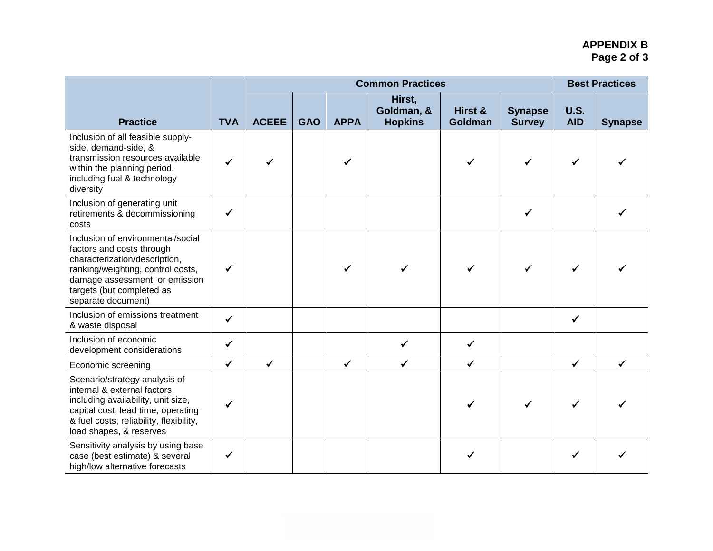## **APPENDIX B Page 2 of 3**

|                                                                                                                                                                                                                           |              |              | <b>Common Practices</b> |              |                                        |                    |                                 |                           | <b>Best Practices</b> |  |  |
|---------------------------------------------------------------------------------------------------------------------------------------------------------------------------------------------------------------------------|--------------|--------------|-------------------------|--------------|----------------------------------------|--------------------|---------------------------------|---------------------------|-----------------------|--|--|
| <b>Practice</b>                                                                                                                                                                                                           | <b>TVA</b>   | <b>ACEEE</b> | <b>GAO</b>              | <b>APPA</b>  | Hirst,<br>Goldman, &<br><b>Hopkins</b> | Hirst &<br>Goldman | <b>Synapse</b><br><b>Survey</b> | <b>U.S.</b><br><b>AID</b> | <b>Synapse</b>        |  |  |
| Inclusion of all feasible supply-<br>side, demand-side, &<br>transmission resources available<br>within the planning period,<br>including fuel & technology<br>diversity                                                  | ✔            |              |                         |              |                                        |                    |                                 |                           |                       |  |  |
| Inclusion of generating unit<br>retirements & decommissioning<br>costs                                                                                                                                                    | ✔            |              |                         |              |                                        |                    | ✓                               |                           |                       |  |  |
| Inclusion of environmental/social<br>factors and costs through<br>characterization/description,<br>ranking/weighting, control costs,<br>damage assessment, or emission<br>targets (but completed as<br>separate document) | ✓            |              |                         |              |                                        |                    |                                 |                           |                       |  |  |
| Inclusion of emissions treatment<br>& waste disposal                                                                                                                                                                      | $\checkmark$ |              |                         |              |                                        |                    |                                 | $\checkmark$              |                       |  |  |
| Inclusion of economic<br>development considerations                                                                                                                                                                       | $\checkmark$ |              |                         |              | ✔                                      | ✓                  |                                 |                           |                       |  |  |
| Economic screening                                                                                                                                                                                                        | $\checkmark$ | $\checkmark$ |                         | $\checkmark$ | ✔                                      | $\checkmark$       |                                 | $\checkmark$              | ✔                     |  |  |
| Scenario/strategy analysis of<br>internal & external factors,<br>including availability, unit size,<br>capital cost, lead time, operating<br>& fuel costs, reliability, flexibility,<br>load shapes, & reserves           | ✓            |              |                         |              |                                        |                    |                                 |                           |                       |  |  |
| Sensitivity analysis by using base<br>case (best estimate) & several<br>high/low alternative forecasts                                                                                                                    | ✓            |              |                         |              |                                        | ✓                  |                                 |                           |                       |  |  |